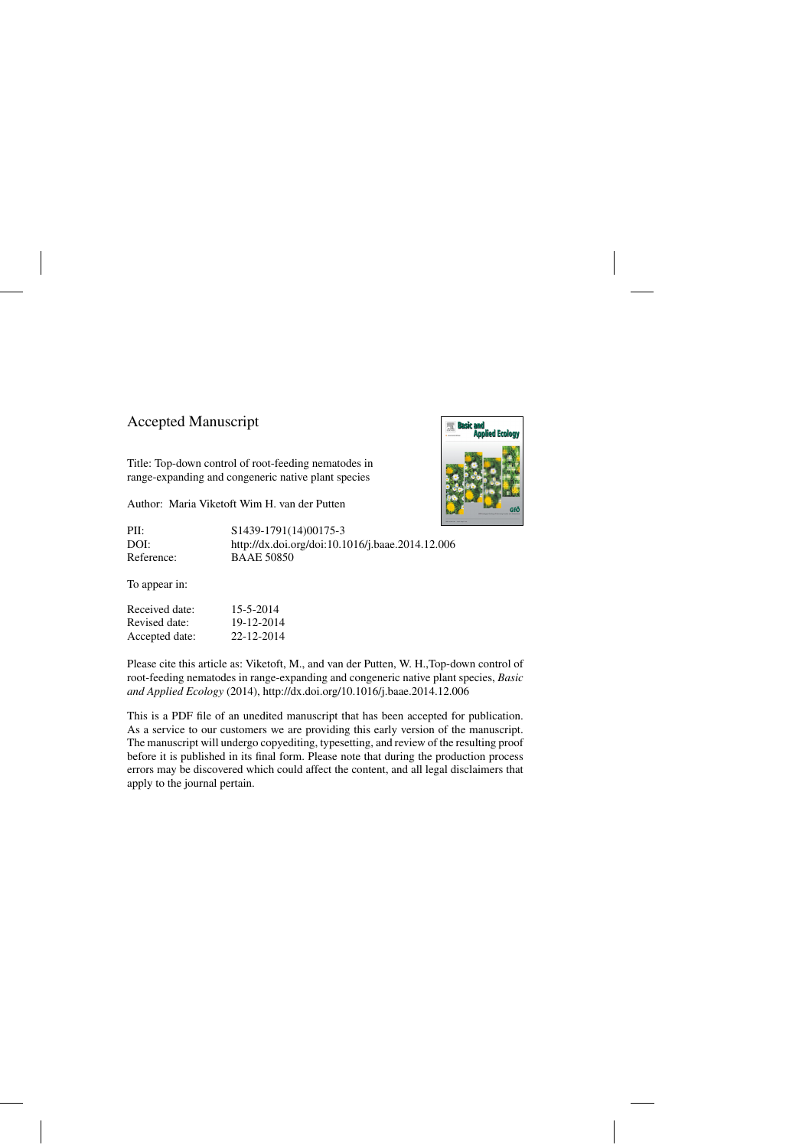#### Accepted Manuscript

Title: Top-down control of root-feeding nematodes in range-expanding and congeneric native plant species

Author: Maria Viketoft Wim H. van der Putten



PII: S1439-1791(14)00175-3 DOI:<http://dx.doi.org/doi:10.1016/j.baae.2014.12.006> Reference: BAAE 50850

To appear in:

| Received date: | 15-5-2014  |
|----------------|------------|
| Revised date:  | 19-12-2014 |
| Accepted date: | 22-12-2014 |

Please cite this article as: Viketoft, M., and van der Putten, W. H.,Top-down control of root-feeding nematodes in range-expanding and congeneric native plant species, *Basic and Applied Ecology* (2014),<http://dx.doi.org/10.1016/j.baae.2014.12.006>

This is a PDF file of an unedited manuscript that has been accepted for publication. As a service to our customers we are providing this early version of the manuscript. The manuscript will undergo copyediting, typesetting, and review of the resulting proof before it is published in its final form. Please note that during the production process errors may be discovered which could affect the content, and all legal disclaimers that apply to the journal pertain.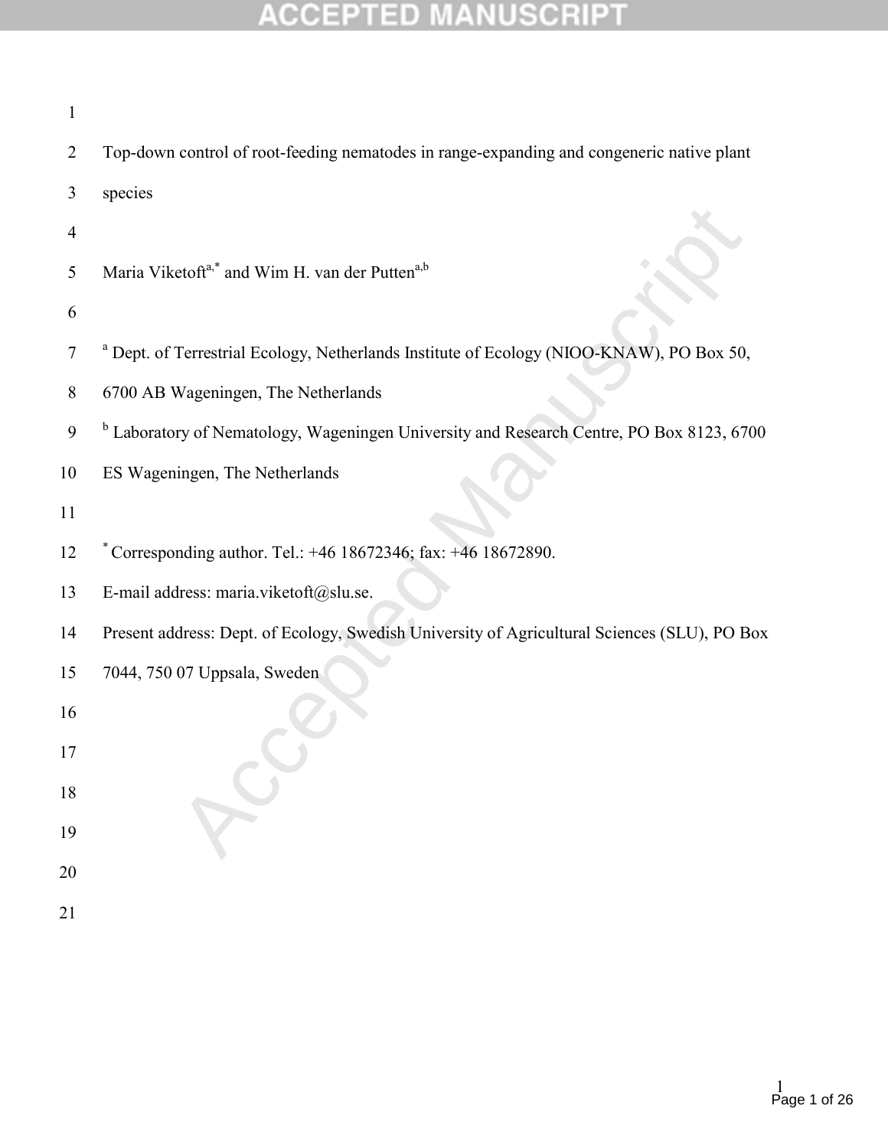# **ACCEPTED MANUSCRIPT**

| 1              |                                                                                                     |
|----------------|-----------------------------------------------------------------------------------------------------|
| 2              | Top-down control of root-feeding nematodes in range-expanding and congeneric native plant           |
| 3              | species                                                                                             |
| $\overline{4}$ |                                                                                                     |
| 5              | Maria Viketoft <sup>a,*</sup> and Wim H. van der Putten <sup>a,b</sup>                              |
| 6              |                                                                                                     |
| 7              | <sup>a</sup> Dept. of Terrestrial Ecology, Netherlands Institute of Ecology (NIOO-KNAW), PO Box 50, |
| 8              | 6700 AB Wageningen, The Netherlands                                                                 |
| 9              | <sup>b</sup> Laboratory of Nematology, Wageningen University and Research Centre, PO Box 8123, 6700 |
| 10             | ES Wageningen, The Netherlands                                                                      |
| 11             |                                                                                                     |
| 12             | * Corresponding author. Tel.: $+46$ 18672346; fax: $+46$ 18672890.                                  |
| 13             | E-mail address: maria.viketoft@slu.se.                                                              |
| 14             | Present address: Dept. of Ecology, Swedish University of Agricultural Sciences (SLU), PO Box        |
| 15             | 7044, 750 07 Uppsala, Sweden                                                                        |
| 16             |                                                                                                     |
| 17             |                                                                                                     |
| 18             |                                                                                                     |
| 19             |                                                                                                     |
| $20\,$         |                                                                                                     |
| 21             |                                                                                                     |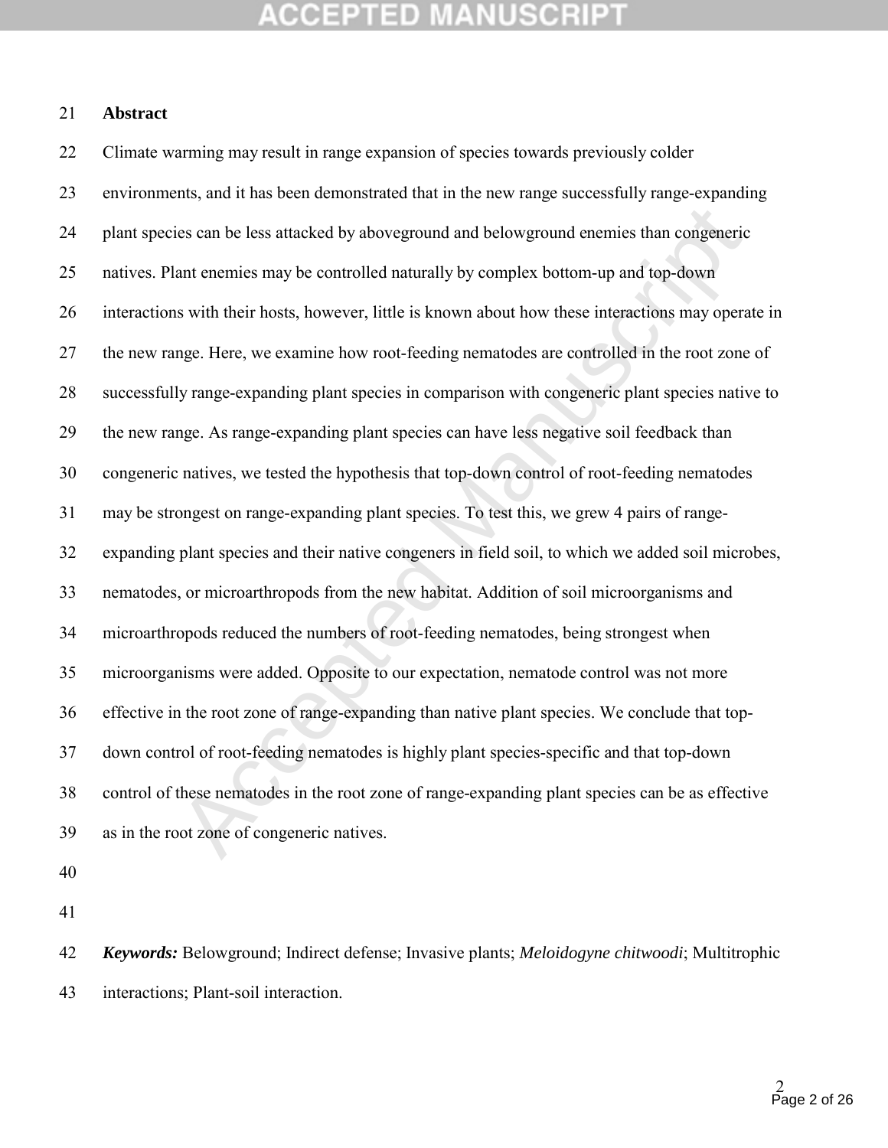## **CCEPTED MANUSCR**

#### **Abstract**

ics can be less attacked by above ground and belowground enemies than congenerie<br>ant enemies may be controlled naturally by complex bottom-up and top-down<br>s with their hosts, however, little is known about how these intera Climate warming may result in range expansion of species towards previously colder environments, and it has been demonstrated that in the new range successfully range-expanding plant species can be less attacked by aboveground and belowground enemies than congeneric natives. Plant enemies may be controlled naturally by complex bottom-up and top-down interactions with their hosts, however, little is known about how these interactions may operate in the new range. Here, we examine how root-feeding nematodes are controlled in the root zone of successfully range-expanding plant species in comparison with congeneric plant species native to the new range. As range-expanding plant species can have less negative soil feedback than congeneric natives, we tested the hypothesis that top-down control of root-feeding nematodes may be strongest on range-expanding plant species. To test this, we grew 4 pairs of range- expanding plant species and their native congeners in field soil, to which we added soil microbes, nematodes, or microarthropods from the new habitat. Addition of soil microorganisms and microarthropods reduced the numbers of root-feeding nematodes, being strongest when microorganisms were added. Opposite to our expectation, nematode control was not more effective in the root zone of range-expanding than native plant species. We conclude that top- down control of root-feeding nematodes is highly plant species-specific and that top-down control of these nematodes in the root zone of range-expanding plant species can be as effective as in the root zone of congeneric natives.

 *Keywords:* Belowground; Indirect defense; Invasive plants; *Meloidogyne chitwoodi*; Multitrophic interactions; Plant-soil interaction.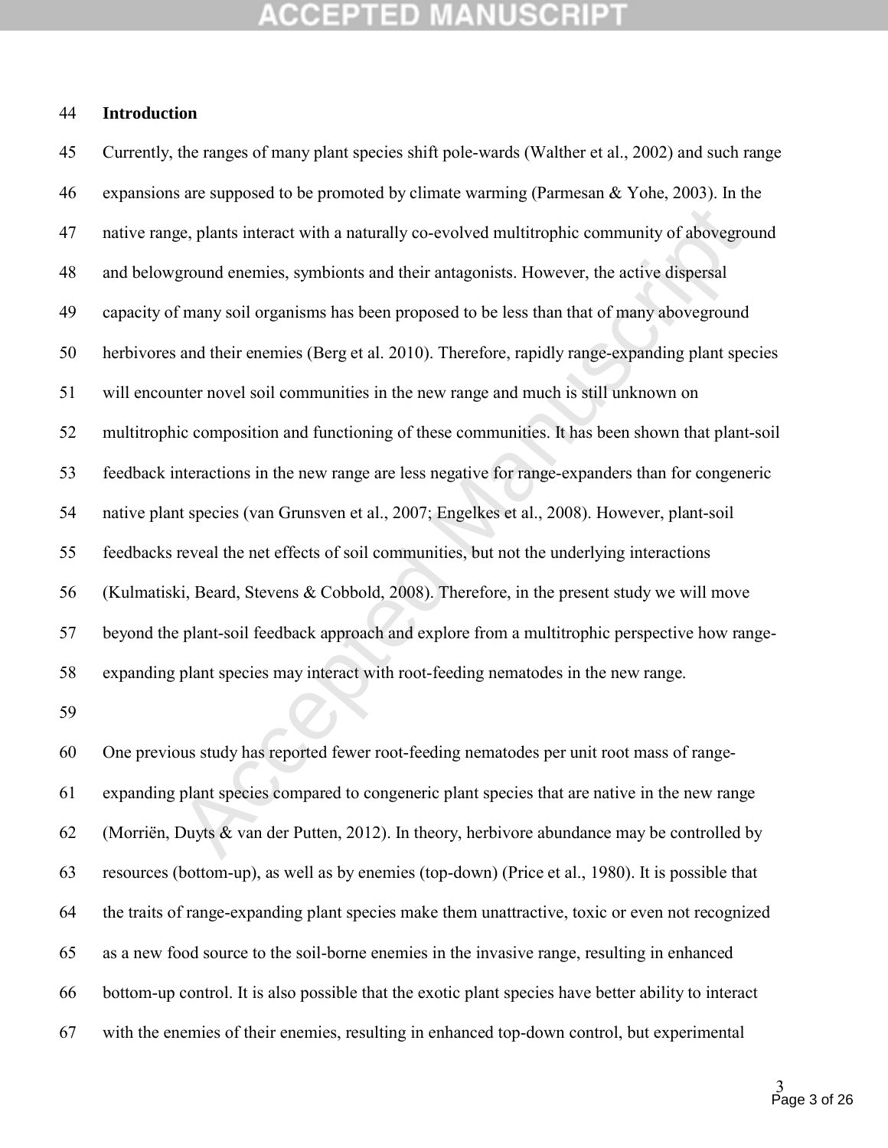## **CCEPTED MANUSCR**

#### **Introduction**

gc, plants interact with a naturally co-evolved multitrophic community of abovegromond enemies, symbionts and their antagonists. However, the active dispersal f many soil organisms has been proposed to be less than that of Currently, the ranges of many plant species shift pole-wards (Walther et al., 2002) and such range expansions are supposed to be promoted by climate warming (Parmesan & Yohe, 2003). In the native range, plants interact with a naturally co-evolved multitrophic community of aboveground and belowground enemies, symbionts and their antagonists. However, the active dispersal capacity of many soil organisms has been proposed to be less than that of many aboveground herbivores and their enemies (Berg et al. 2010). Therefore, rapidly range-expanding plant species will encounter novel soil communities in the new range and much is still unknown on multitrophic composition and functioning of these communities. It has been shown that plant-soil feedback interactions in the new range are less negative for range-expanders than for congeneric native plant species (van Grunsven et al., 2007; Engelkes et al., 2008). However, plant-soil feedbacks reveal the net effects of soil communities, but not the underlying interactions (Kulmatiski, Beard, Stevens & Cobbold, 2008). Therefore, in the present study we will move beyond the plant-soil feedback approach and explore from a multitrophic perspective how range-expanding plant species may interact with root-feeding nematodes in the new range.

 One previous study has reported fewer root-feeding nematodes per unit root mass of range- expanding plant species compared to congeneric plant species that are native in the new range (Morriën, Duyts & van der Putten, 2012). In theory, herbivore abundance may be controlled by resources (bottom-up), as well as by enemies (top-down) (Price et al., 1980). It is possible that the traits of range-expanding plant species make them unattractive, toxic or even not recognized as a new food source to the soil-borne enemies in the invasive range, resulting in enhanced bottom-up control. It is also possible that the exotic plant species have better ability to interact with the enemies of their enemies, resulting in enhanced top-down control, but experimental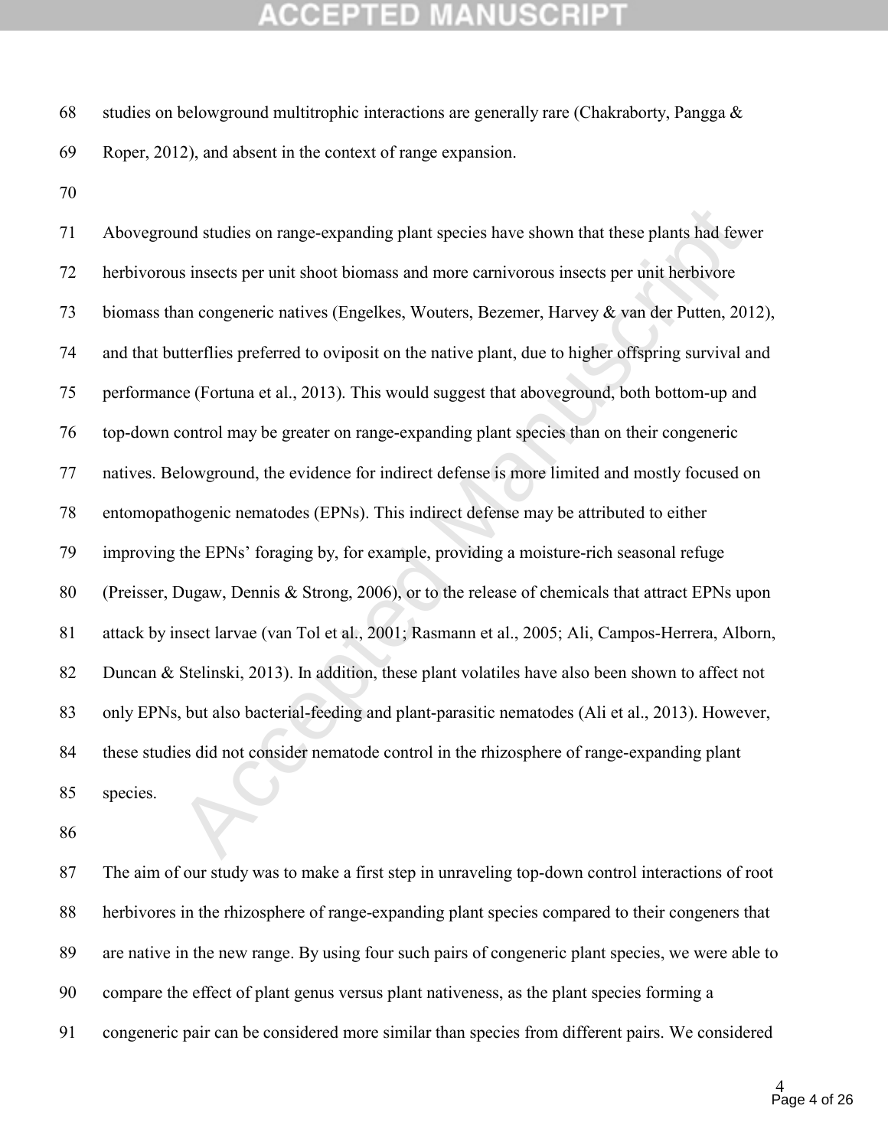## CEPTED

- 68 studies on belowground multitrophic interactions are generally rare (Chakraborty, Pangga  $\&$ Roper, 2012), and absent in the context of range expansion.
- 

and studies on range-expanding plant species have shown that these plants had few<br>is insects per unit shoot biomass and more carnivorous insects per unit herbivore<br>an congeneric natives (Engelkes, Wouters, Bezemer, Harvey Aboveground studies on range-expanding plant species have shown that these plants had fewer herbivorous insects per unit shoot biomass and more carnivorous insects per unit herbivore biomass than congeneric natives (Engelkes, Wouters, Bezemer, Harvey & van der Putten, 2012), and that butterflies preferred to oviposit on the native plant, due to higher offspring survival and performance (Fortuna et al., 2013). This would suggest that aboveground, both bottom-up and top-down control may be greater on range-expanding plant species than on their congeneric natives. Belowground, the evidence for indirect defense is more limited and mostly focused on entomopathogenic nematodes (EPNs). This indirect defense may be attributed to either improving the EPNs' foraging by, for example, providing a moisture-rich seasonal refuge (Preisser, Dugaw, Dennis & Strong, 2006), or to the release of chemicals that attract EPNs upon attack by insect larvae (van Tol et al., 2001; Rasmann et al., 2005; Ali, Campos-Herrera, Alborn, Duncan & Stelinski, 2013). In addition, these plant volatiles have also been shown to affect not only EPNs, but also bacterial-feeding and plant-parasitic nematodes (Ali et al., 2013). However, these studies did not consider nematode control in the rhizosphere of range-expanding plant species.

 The aim of our study was to make a first step in unraveling top-down control interactions of root herbivores in the rhizosphere of range-expanding plant species compared to their congeners that are native in the new range. By using four such pairs of congeneric plant species, we were able to compare the effect of plant genus versus plant nativeness, as the plant species forming a congeneric pair can be considered more similar than species from different pairs. We considered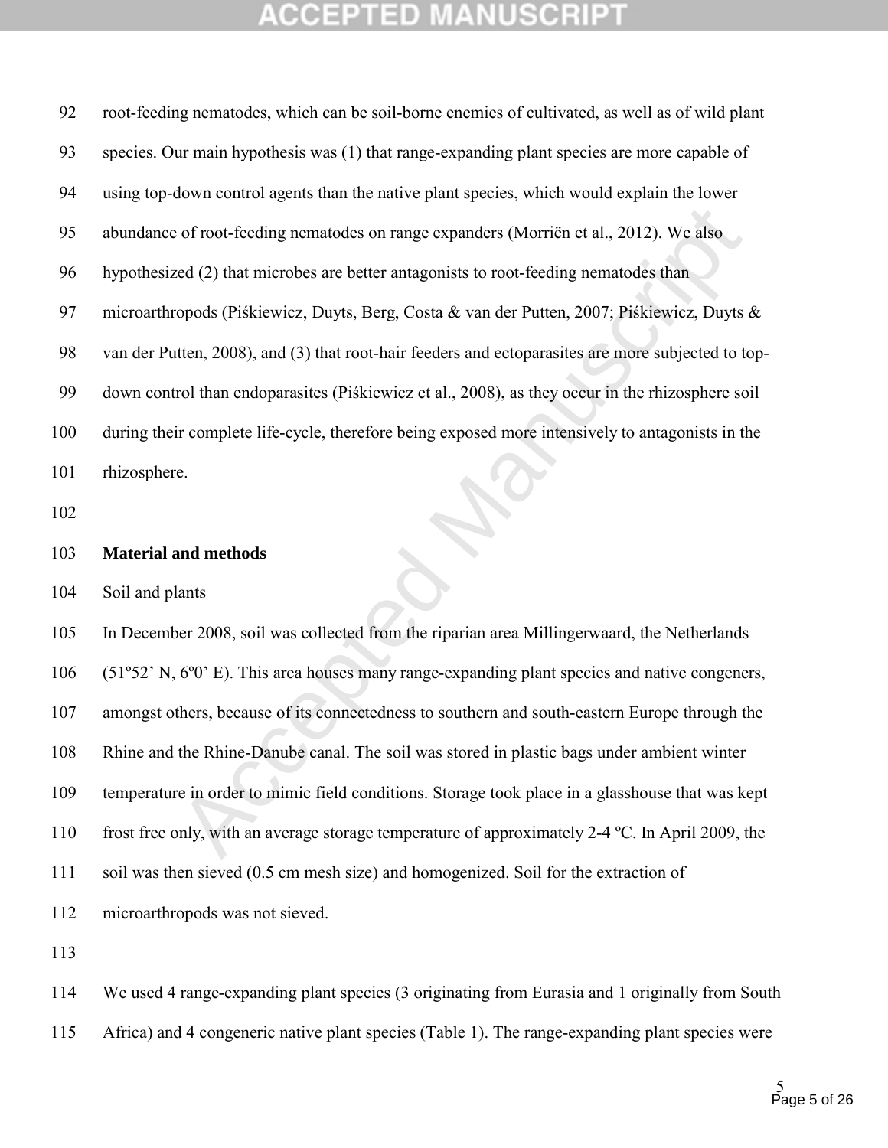## **CCEPTED MANUSCR**

of root-feeding nematodes on range expanders (Morrich et al., 2012). We also<br>ed (2) that microbes are better antagonists to root-feeding nematodes than<br>opods (Piśkiewiez, Duyts, Berg, Costa & van der Putten, 2007; Piśkiewi root-feeding nematodes, which can be soil-borne enemies of cultivated, as well as of wild plant species. Our main hypothesis was (1) that range-expanding plant species are more capable of using top-down control agents than the native plant species, which would explain the lower abundance of root-feeding nematodes on range expanders (Morriën et al., 2012). We also hypothesized (2) that microbes are better antagonists to root-feeding nematodes than microarthropods (Piśkiewicz, Duyts, Berg, Costa & van der Putten, 2007; Piśkiewicz, Duyts & van der Putten, 2008), and (3) that root-hair feeders and ectoparasites are more subjected to top- down control than endoparasites (Piśkiewicz et al., 2008), as they occur in the rhizosphere soil during their complete life-cycle, therefore being exposed more intensively to antagonists in the rhizosphere. **Material and methods** Soil and plants In December 2008, soil was collected from the riparian area Millingerwaard, the Netherlands (51º52' N, 6º0' E). This area houses many range-expanding plant species and native congeners, amongst others, because of its connectedness to southern and south-eastern Europe through the Rhine and the Rhine-Danube canal. The soil was stored in plastic bags under ambient winter temperature in order to mimic field conditions. Storage took place in a glasshouse that was kept frost free only, with an average storage temperature of approximately 2-4 ºC. In April 2009, the soil was then sieved (0.5 cm mesh size) and homogenized. Soil for the extraction of microarthropods was not sieved.

We used 4 range-expanding plant species (3 originating from Eurasia and 1 originally from South

Africa) and 4 congeneric native plant species (Table 1). The range-expanding plant species were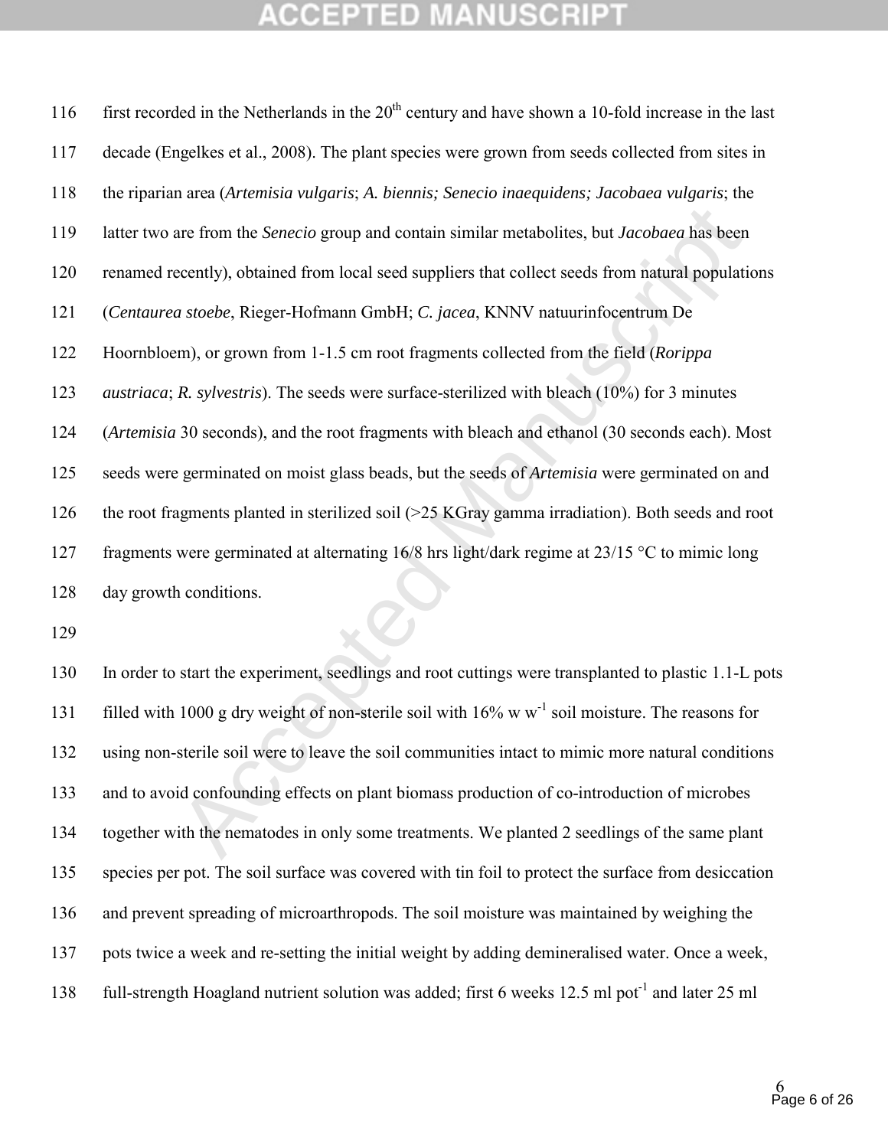## **CEPTED MANUSCR**

are from the *Senecio* group and contain similar metabolites, but *Jacobaea* has been<br>ecently), obtained from local seed suppliers that collect seeds from natural populatie<br>a *u* stoebe, Ricger-Hofmann GmbH; *C. jacea*, K 116 first recorded in the Netherlands in the  $20<sup>th</sup>$  century and have shown a 10-fold increase in the last decade (Engelkes et al., 2008). The plant species were grown from seeds collected from sites in the riparian area (*Artemisia vulgaris*; *A. biennis; Senecio inaequidens; Jacobaea vulgaris*; the latter two are from the *Senecio* group and contain similar metabolites, but *Jacobaea* has been renamed recently), obtained from local seed suppliers that collect seeds from natural populations (*Centaurea stoebe*, Rieger-Hofmann GmbH; *C. jacea*, KNNV natuurinfocentrum De Hoornbloem), or grown from 1-1.5 cm root fragments collected from the field (*Rorippa austriaca*; *R. sylvestris*). The seeds were surface-sterilized with bleach (10%) for 3 minutes (*Artemisia* 30 seconds), and the root fragments with bleach and ethanol (30 seconds each). Most seeds were germinated on moist glass beads, but the seeds of *Artemisia* were germinated on and the root fragments planted in sterilized soil (>25 KGray gamma irradiation). Both seeds and root fragments were germinated at alternating 16/8 hrs light/dark regime at 23/15 °C to mimic long day growth conditions.

 In order to start the experiment, seedlings and root cuttings were transplanted to plastic 1.1-L pots 131 filled with 1000 g dry weight of non-sterile soil with  $16\%$  w w<sup>-1</sup> soil moisture. The reasons for using non-sterile soil were to leave the soil communities intact to mimic more natural conditions and to avoid confounding effects on plant biomass production of co-introduction of microbes together with the nematodes in only some treatments. We planted 2 seedlings of the same plant species per pot. The soil surface was covered with tin foil to protect the surface from desiccation and prevent spreading of microarthropods. The soil moisture was maintained by weighing the pots twice a week and re-setting the initial weight by adding demineralised water. Once a week, 138 full-strength Hoagland nutrient solution was added; first 6 weeks 12.5 ml pot<sup>-1</sup> and later 25 ml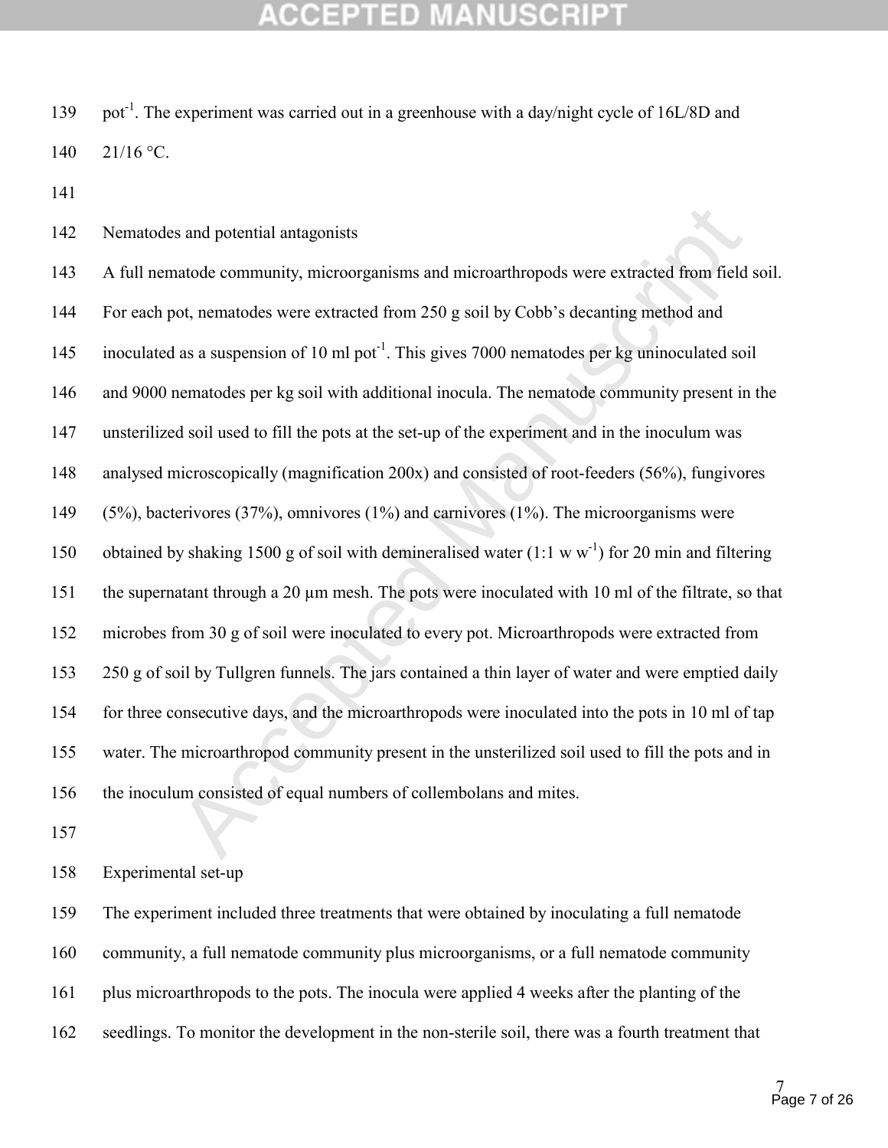## CCEPTED MANUSC

- 139 pot<sup>-1</sup>. The experiment was carried out in a greenhouse with a day/night cycle of 16L/8D and 140 21/16 °C.
- 
- Nematodes and potential antagonists

s and potential antagonists<br>atode community, microorganisms and microarthropods were extracted from field<br>ot, nematodes were extracted from 250 g soil by Cobb's decanting method and<br>as a suspension of 10 ml pot<sup>-1</sup>. This A full nematode community, microorganisms and microarthropods were extracted from field soil. For each pot, nematodes were extracted from 250 g soil by Cobb's decanting method and 145 inoculated as a suspension of 10 ml pot<sup>-1</sup>. This gives 7000 nematodes per kg uninoculated soil and 9000 nematodes per kg soil with additional inocula. The nematode community present in the unsterilized soil used to fill the pots at the set-up of the experiment and in the inoculum was analysed microscopically (magnification 200x) and consisted of root-feeders (56%), fungivores (5%), bacterivores (37%), omnivores (1%) and carnivores (1%). The microorganisms were 150 obtained by shaking 1500 g of soil with demineralised water (1:1 w w<sup>-1</sup>) for 20 min and filtering the supernatant through a 20 µm mesh. The pots were inoculated with 10 ml of the filtrate, so that microbes from 30 g of soil were inoculated to every pot. Microarthropods were extracted from 250 g of soil by Tullgren funnels. The jars contained a thin layer of water and were emptied daily for three consecutive days, and the microarthropods were inoculated into the pots in 10 ml of tap water. The microarthropod community present in the unsterilized soil used to fill the pots and in the inoculum consisted of equal numbers of collembolans and mites.

Experimental set-up

 The experiment included three treatments that were obtained by inoculating a full nematode community, a full nematode community plus microorganisms, or a full nematode community plus microarthropods to the pots. The inocula were applied 4 weeks after the planting of the seedlings. To monitor the development in the non-sterile soil, there was a fourth treatment that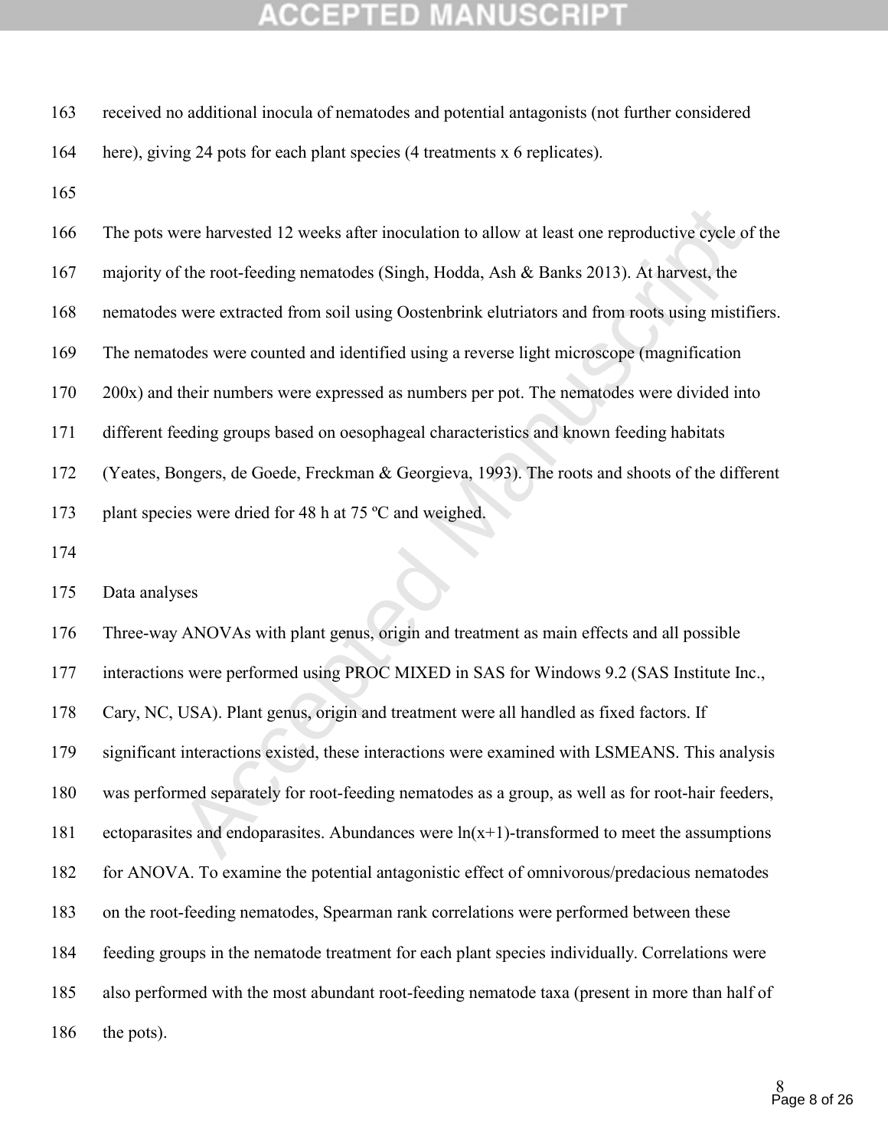## **CCEPTED MANUSCR**

- received no additional inocula of nematodes and potential antagonists (not further considered
- here), giving 24 pots for each plant species (4 treatments x 6 replicates).
- 
- were harvested 12 weeks after inoculation to allow at least one reproductive cycle of<br>the root-feeding nematodes (Singh, Hodda, Ash & Banks 2013). At harvest, the<br>were extracted from soil using Oostenbrink clutriators and The pots were harvested 12 weeks after inoculation to allow at least one reproductive cycle of the majority of the root-feeding nematodes (Singh, Hodda, Ash & Banks 2013). At harvest, the nematodes were extracted from soil using Oostenbrink elutriators and from roots using mistifiers. The nematodes were counted and identified using a reverse light microscope (magnification 200x) and their numbers were expressed as numbers per pot. The nematodes were divided into different feeding groups based on oesophageal characteristics and known feeding habitats (Yeates, Bongers, de Goede, Freckman & Georgieva, 1993). The roots and shoots of the different 173 plant species were dried for 48 h at 75 °C and weighed. Data analyses

Three-way ANOVAs with plant genus, origin and treatment as main effects and all possible

interactions were performed using PROC MIXED in SAS for Windows 9.2 (SAS Institute Inc.,

Cary, NC, USA). Plant genus, origin and treatment were all handled as fixed factors. If

significant interactions existed, these interactions were examined with LSMEANS. This analysis

was performed separately for root-feeding nematodes as a group, as well as for root-hair feeders,

181 ectoparasites and endoparasites. Abundances were  $ln(x+1)$ -transformed to meet the assumptions

for ANOVA. To examine the potential antagonistic effect of omnivorous/predacious nematodes

on the root-feeding nematodes, Spearman rank correlations were performed between these

feeding groups in the nematode treatment for each plant species individually. Correlations were

- also performed with the most abundant root-feeding nematode taxa (present in more than half of
- 186 the pots).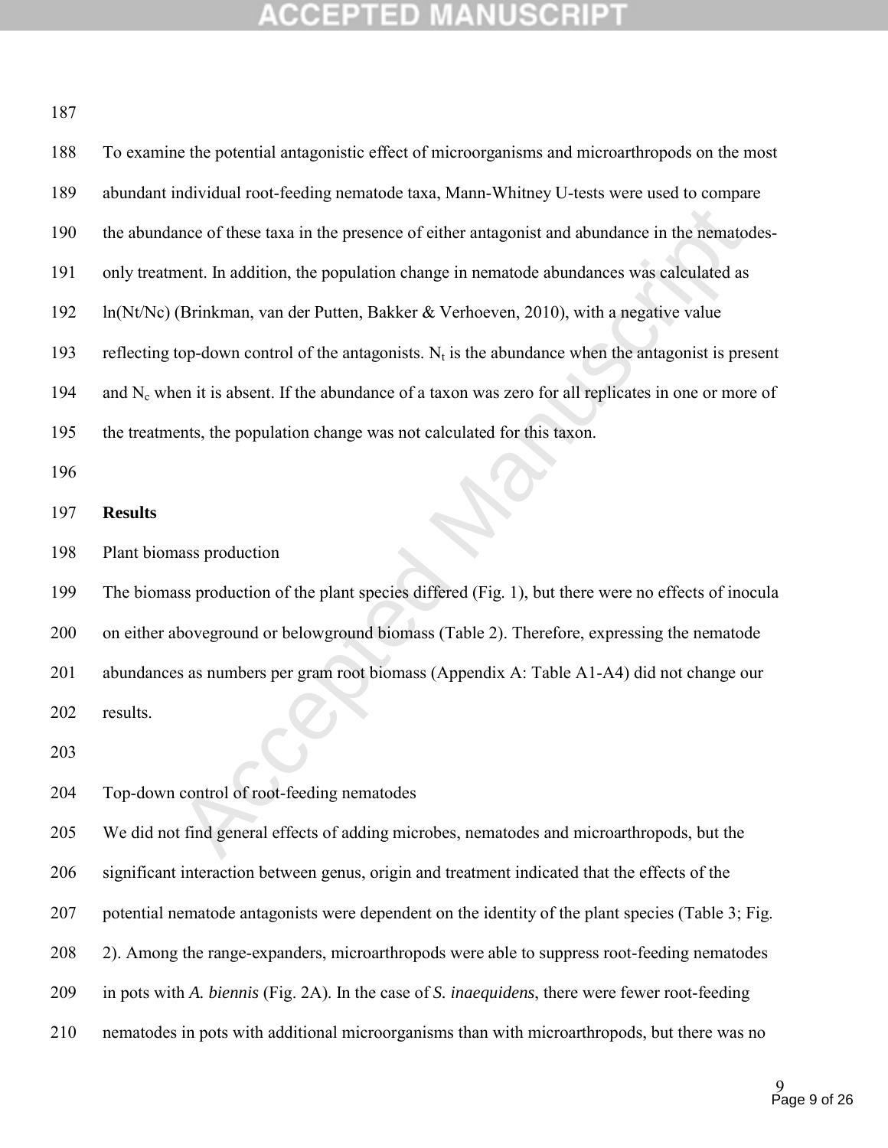# **ACCEPTED MANUSCRIPT**

| 188 | To examine the potential antagonistic effect of microorganisms and microarthropods on the most         |
|-----|--------------------------------------------------------------------------------------------------------|
| 189 | abundant individual root-feeding nematode taxa, Mann-Whitney U-tests were used to compare              |
| 190 | the abundance of these taxa in the presence of either antagonist and abundance in the nematodes-       |
| 191 | only treatment. In addition, the population change in nematode abundances was calculated as            |
| 192 | ln(Nt/Nc) (Brinkman, van der Putten, Bakker & Verhoeven, 2010), with a negative value                  |
| 193 | reflecting top-down control of the antagonists. $N_t$ is the abundance when the antagonist is present  |
| 194 | and $N_c$ when it is absent. If the abundance of a taxon was zero for all replicates in one or more of |
| 195 | the treatments, the population change was not calculated for this taxon.                               |
| 196 |                                                                                                        |
| 197 | <b>Results</b>                                                                                         |
| 198 | Plant biomass production                                                                               |
| 199 | The biomass production of the plant species differed (Fig. 1), but there were no effects of inocula    |
| 200 | on either aboveground or belowground biomass (Table 2). Therefore, expressing the nematode             |
| 201 | abundances as numbers per gram root biomass (Appendix A: Table A1-A4) did not change our               |
| 202 | results.                                                                                               |
| 203 |                                                                                                        |
| 204 | Top-down control of root-feeding nematodes                                                             |
| 205 | We did not find general effects of adding microbes, nematodes and microarthropods, but the             |
| 206 | significant interaction between genus, origin and treatment indicated that the effects of the          |
| 207 | potential nematode antagonists were dependent on the identity of the plant species (Table 3; Fig.      |
| 208 | 2). Among the range-expanders, microarthropods were able to suppress root-feeding nematodes            |
| 209 | in pots with A. biennis (Fig. 2A). In the case of S. inaequidens, there were fewer root-feeding        |
| 210 | nematodes in pots with additional microorganisms than with microarthropods, but there was no           |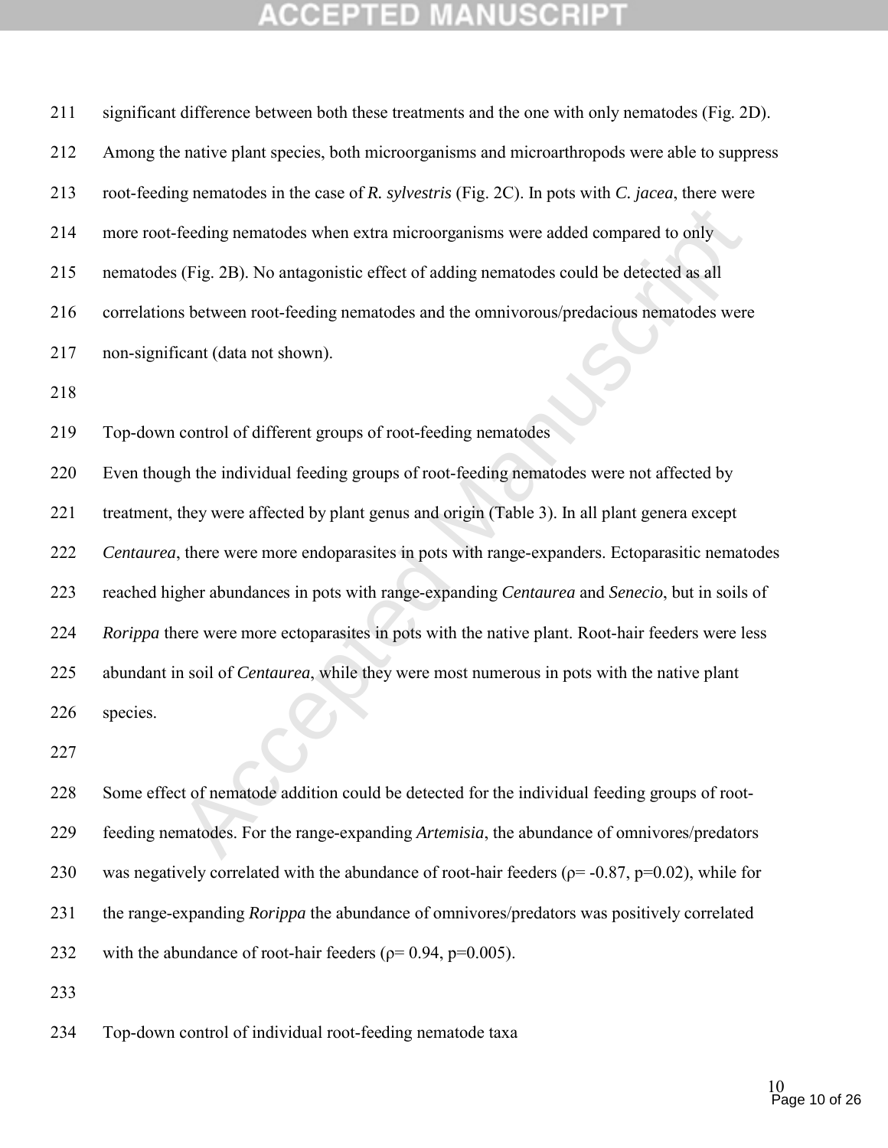#### **CCEPTED MANUSCRIP**  $\Delta$

| 211 | significant difference between both these treatments and the one with only nematodes (Fig. 2D).    |
|-----|----------------------------------------------------------------------------------------------------|
| 212 | Among the native plant species, both microorganisms and microarthropods were able to suppress      |
| 213 | root-feeding nematodes in the case of R. sylvestris (Fig. 2C). In pots with C. jacea, there were   |
| 214 | more root-feeding nematodes when extra microorganisms were added compared to only                  |
| 215 | nematodes (Fig. 2B). No antagonistic effect of adding nematodes could be detected as all           |
| 216 | correlations between root-feeding nematodes and the omnivorous/predacious nematodes were           |
| 217 | non-significant (data not shown).                                                                  |
| 218 |                                                                                                    |
| 219 | Top-down control of different groups of root-feeding nematodes                                     |
| 220 | Even though the individual feeding groups of root-feeding nematodes were not affected by           |
| 221 | treatment, they were affected by plant genus and origin (Table 3). In all plant genera except      |
| 222 | Centaurea, there were more endoparasites in pots with range-expanders. Ectoparasitic nematodes     |
| 223 | reached higher abundances in pots with range-expanding Centaurea and Senecio, but in soils of      |
| 224 | Rorippa there were more ectoparasites in pots with the native plant. Root-hair feeders were less   |
| 225 | abundant in soil of <i>Centaurea</i> , while they were most numerous in pots with the native plant |
| 226 | species.                                                                                           |
| 227 |                                                                                                    |
| 228 | Some effect of nematode addition could be detected for the individual feeding groups of root-      |
| 229 | feeding nematodes. For the range-expanding Artemisia, the abundance of omnivores/predators         |
|     |                                                                                                    |

 feeding nematodes. For the range-expanding *Artemisia*, the abundance of omnivores/predators 230 was negatively correlated with the abundance of root-hair feeders ( $p = -0.87$ ,  $p = 0.02$ ), while for the range-expanding *Rorippa* the abundance of omnivores/predators was positively correlated 232 with the abundance of root-hair feeders ( $\rho$ = 0.94, p=0.005).

Top-down control of individual root-feeding nematode taxa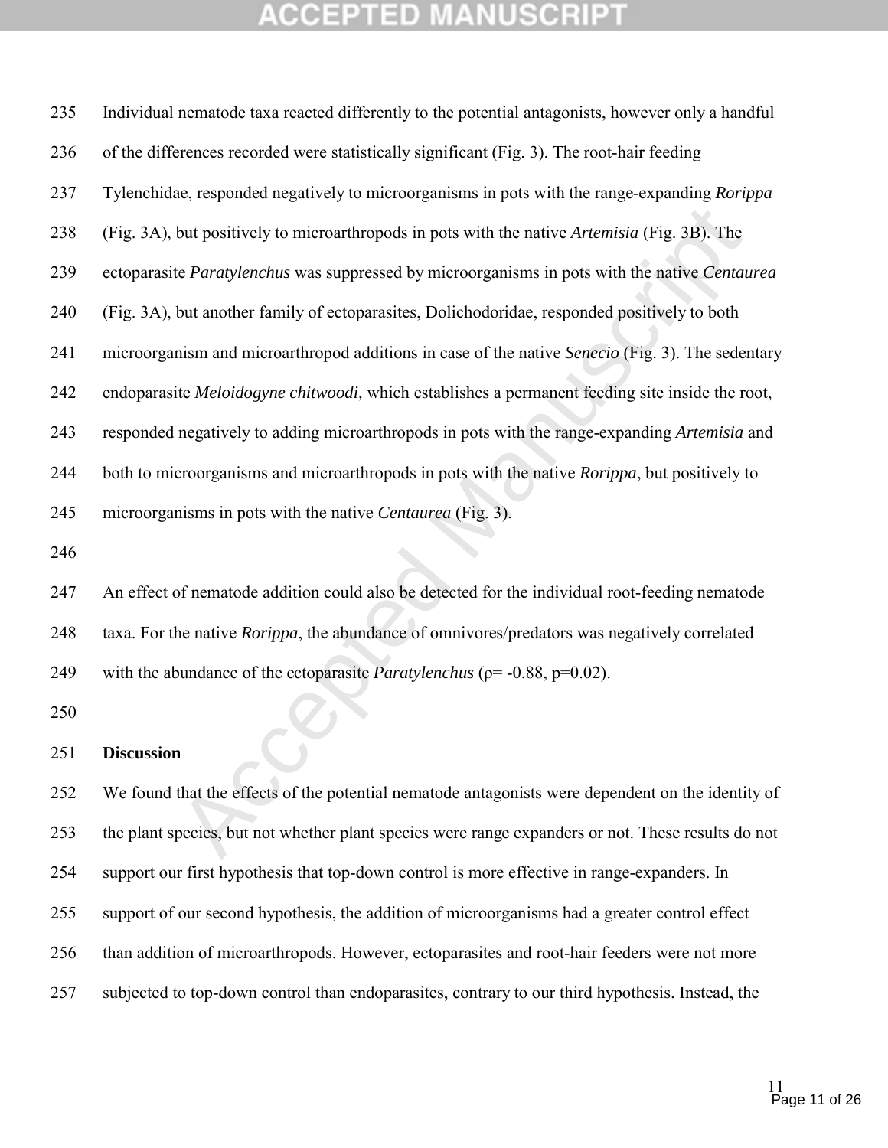## CCEPTED MANUSC

but positively to microarthropods in pots with the native *Artemisia* (Fig. 3B). The *Paratylenchus* was suppressed by microorganisms in pots with the native *Centau* but another family of ectoparasites, Doliehodoridae, r Individual nematode taxa reacted differently to the potential antagonists, however only a handful of the differences recorded were statistically significant (Fig. 3). The root-hair feeding Tylenchidae, responded negatively to microorganisms in pots with the range-expanding *Rorippa* (Fig. 3A), but positively to microarthropods in pots with the native *Artemisia* (Fig. 3B). The ectoparasite *Paratylenchus* was suppressed by microorganisms in pots with the native *Centaurea* (Fig. 3A), but another family of ectoparasites, Dolichodoridae, responded positively to both microorganism and microarthropod additions in case of the native *Senecio* (Fig. 3). The sedentary endoparasite *Meloidogyne chitwoodi,* which establishes a permanent feeding site inside the root, responded negatively to adding microarthropods in pots with the range-expanding *Artemisia* and both to microorganisms and microarthropods in pots with the native *Rorippa*, but positively to microorganisms in pots with the native *Centaurea* (Fig. 3). 

 An effect of nematode addition could also be detected for the individual root-feeding nematode taxa. For the native *Rorippa*, the abundance of omnivores/predators was negatively correlated 249 with the abundance of the ectoparasite *Paratylenchus* ( $\rho$ = -0.88, p=0.02).

#### **Discussion**

 We found that the effects of the potential nematode antagonists were dependent on the identity of the plant species, but not whether plant species were range expanders or not. These results do not support our first hypothesis that top-down control is more effective in range-expanders. In support of our second hypothesis, the addition of microorganisms had a greater control effect than addition of microarthropods. However, ectoparasites and root-hair feeders were not more subjected to top-down control than endoparasites, contrary to our third hypothesis. Instead, the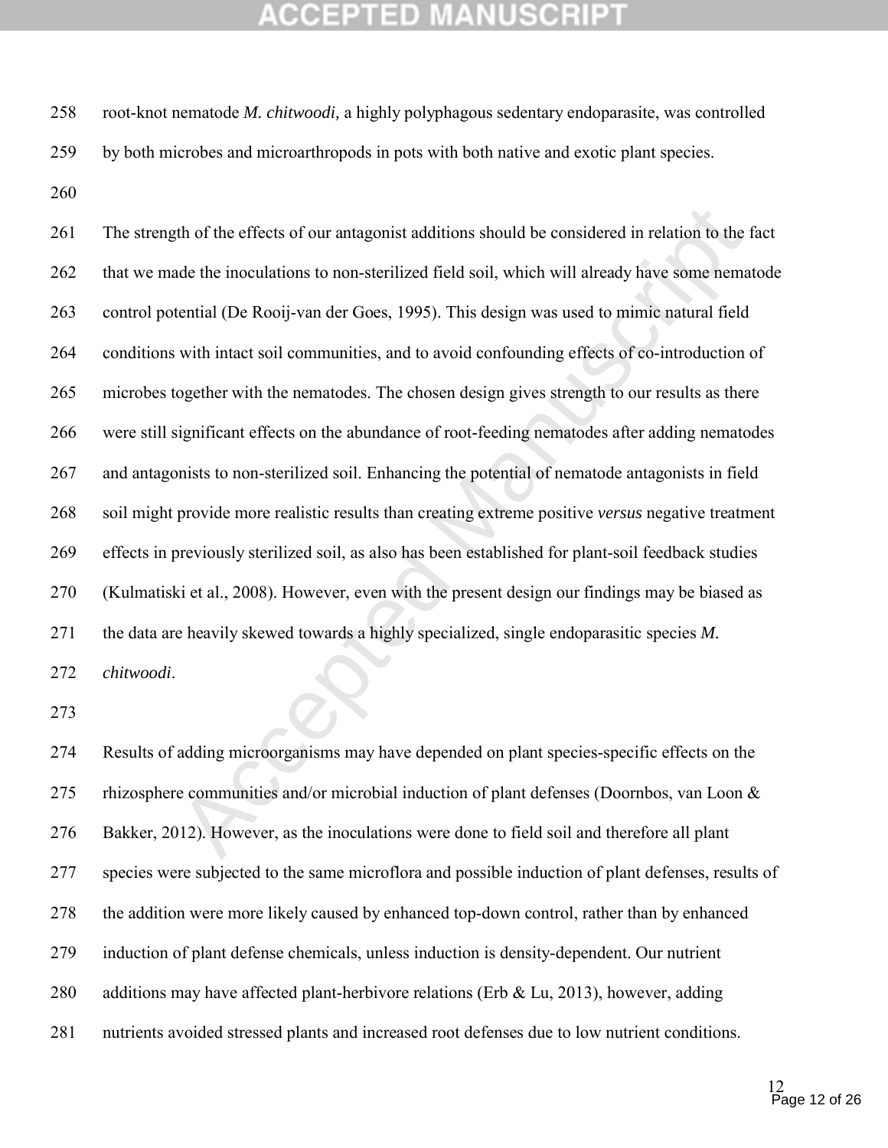### **CEPTED MANUSCR**

 root-knot nematode *M. chitwoodi,* a highly polyphagous sedentary endoparasite, was controlled by both microbes and microarthropods in pots with both native and exotic plant species.

th of the effects of our antagonist additions should be considered in relation to the 1<br>de the inoculations to non-sterilized field soil, which will already have some nema<br>tential (De Rooij-van der Goes, 1995). This design The strength of the effects of our antagonist additions should be considered in relation to the fact that we made the inoculations to non-sterilized field soil, which will already have some nematode control potential (De Rooij-van der Goes, 1995). This design was used to mimic natural field conditions with intact soil communities, and to avoid confounding effects of co-introduction of microbes together with the nematodes. The chosen design gives strength to our results as there were still significant effects on the abundance of root-feeding nematodes after adding nematodes and antagonists to non-sterilized soil. Enhancing the potential of nematode antagonists in field soil might provide more realistic results than creating extreme positive *versus* negative treatment effects in previously sterilized soil, as also has been established for plant-soil feedback studies (Kulmatiski et al., 2008). However, even with the present design our findings may be biased as the data are heavily skewed towards a highly specialized, single endoparasitic species *M. chitwoodi*.

 Results of adding microorganisms may have depended on plant species-specific effects on the 275 rhizosphere communities and/or microbial induction of plant defenses (Doornbos, van Loon  $\&$  Bakker, 2012). However, as the inoculations were done to field soil and therefore all plant species were subjected to the same microflora and possible induction of plant defenses, results of the addition were more likely caused by enhanced top-down control, rather than by enhanced induction of plant defense chemicals, unless induction is density-dependent. Our nutrient additions may have affected plant-herbivore relations (Erb & Lu, 2013), however, adding nutrients avoided stressed plants and increased root defenses due to low nutrient conditions.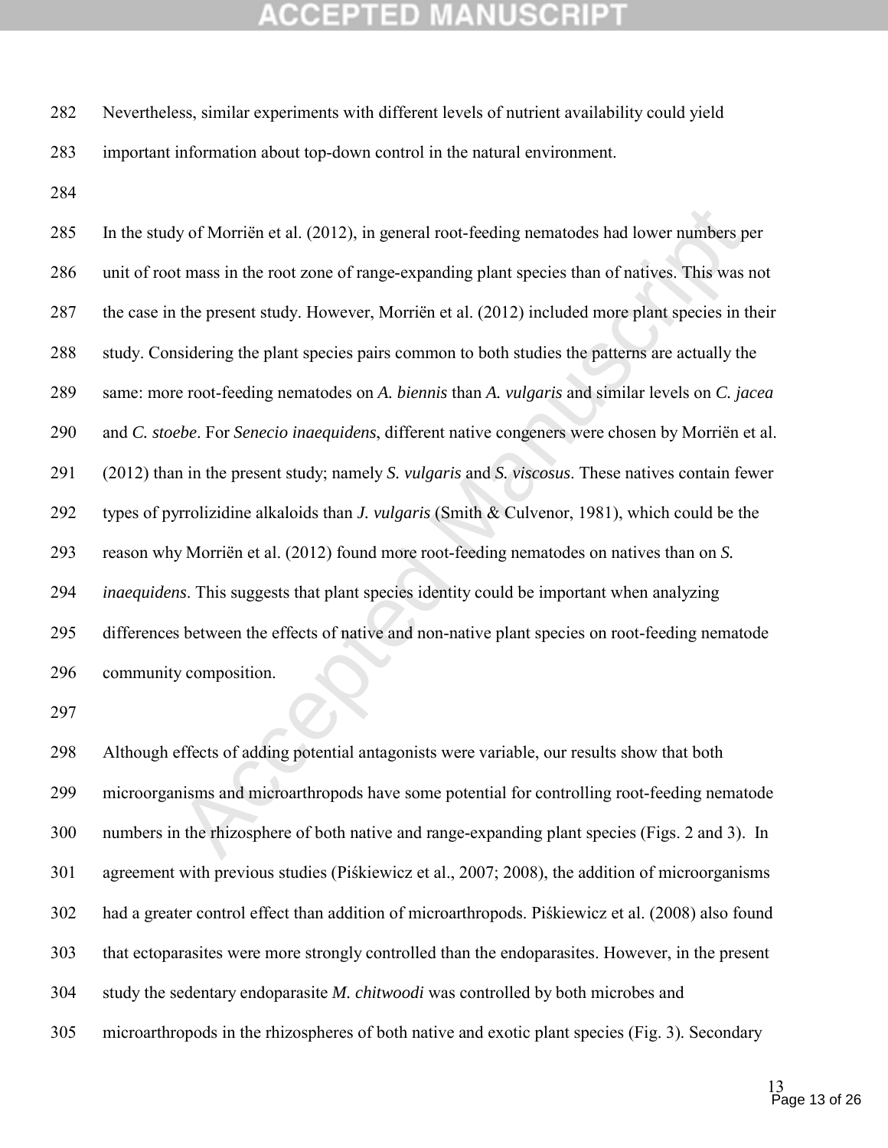## CEPTED

- Nevertheless, similar experiments with different levels of nutrient availability could yield important information about top-down control in the natural environment.
- 

y of Morricn et al. (2012), in general root-feeding nematodes had lower numbers permass in the root zone of range-expanding plant species than of natives. This was a the present study. However, Morricn et al. (2012) includ In the study of Morriën et al. (2012), in general root-feeding nematodes had lower numbers per unit of root mass in the root zone of range-expanding plant species than of natives. This was not the case in the present study. However, Morriën et al. (2012) included more plant species in their study. Considering the plant species pairs common to both studies the patterns are actually the same: more root-feeding nematodes on *A. biennis* than *A. vulgaris* and similar levels on *C. jacea* and *C. stoebe*. For *Senecio inaequidens*, different native congeners were chosen by Morriën et al. (2012) than in the present study; namely *S. vulgaris* and *S. viscosus*. These natives contain fewer types of pyrrolizidine alkaloids than *J. vulgaris* (Smith & Culvenor, 1981), which could be the reason why Morriën et al. (2012) found more root-feeding nematodes on natives than on *S. inaequidens*. This suggests that plant species identity could be important when analyzing differences between the effects of native and non-native plant species on root-feeding nematode community composition.

 Although effects of adding potential antagonists were variable, our results show that both microorganisms and microarthropods have some potential for controlling root-feeding nematode numbers in the rhizosphere of both native and range-expanding plant species (Figs. 2 and 3). In agreement with previous studies (Piśkiewicz et al., 2007; 2008), the addition of microorganisms had a greater control effect than addition of microarthropods. Piśkiewicz et al. (2008) also found that ectoparasites were more strongly controlled than the endoparasites. However, in the present study the sedentary endoparasite *M. chitwoodi* was controlled by both microbes and microarthropods in the rhizospheres of both native and exotic plant species (Fig. 3). Secondary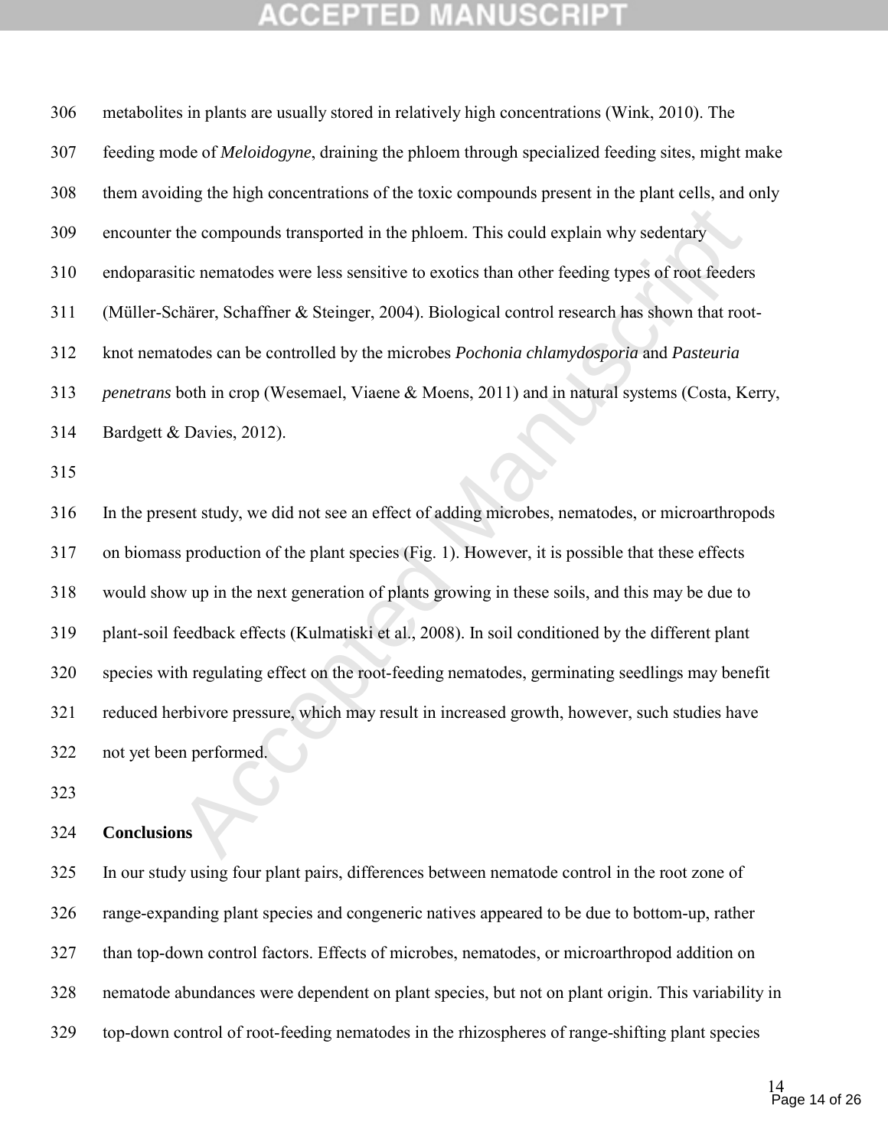## CEPTED

the compounds transported in the phlocm. This could explain why sedentary<br>tite nematodes were less sensitive to exotics than other feeding types of root feeders<br>harer, Schaffner & Steinger, 2004). Biological control resear metabolites in plants are usually stored in relatively high concentrations (Wink, 2010). The feeding mode of *Meloidogyne*, draining the phloem through specialized feeding sites, might make them avoiding the high concentrations of the toxic compounds present in the plant cells, and only encounter the compounds transported in the phloem. This could explain why sedentary endoparasitic nematodes were less sensitive to exotics than other feeding types of root feeders (Müller-Schärer, Schaffner & Steinger, 2004). Biological control research has shown that root- knot nematodes can be controlled by the microbes *Pochonia chlamydosporia* and *Pasteuria penetrans* both in crop (Wesemael, Viaene & Moens, 2011) and in natural systems (Costa, Kerry, Bardgett & Davies, 2012). In the present study, we did not see an effect of adding microbes, nematodes, or microarthropods

 on biomass production of the plant species (Fig. 1). However, it is possible that these effects would show up in the next generation of plants growing in these soils, and this may be due to plant-soil feedback effects (Kulmatiski et al., 2008). In soil conditioned by the different plant species with regulating effect on the root-feeding nematodes, germinating seedlings may benefit reduced herbivore pressure, which may result in increased growth, however, such studies have not yet been performed.

#### **Conclusions**

 In our study using four plant pairs, differences between nematode control in the root zone of range-expanding plant species and congeneric natives appeared to be due to bottom-up, rather than top-down control factors. Effects of microbes, nematodes, or microarthropod addition on nematode abundances were dependent on plant species, but not on plant origin. This variability in top-down control of root-feeding nematodes in the rhizospheres of range-shifting plant species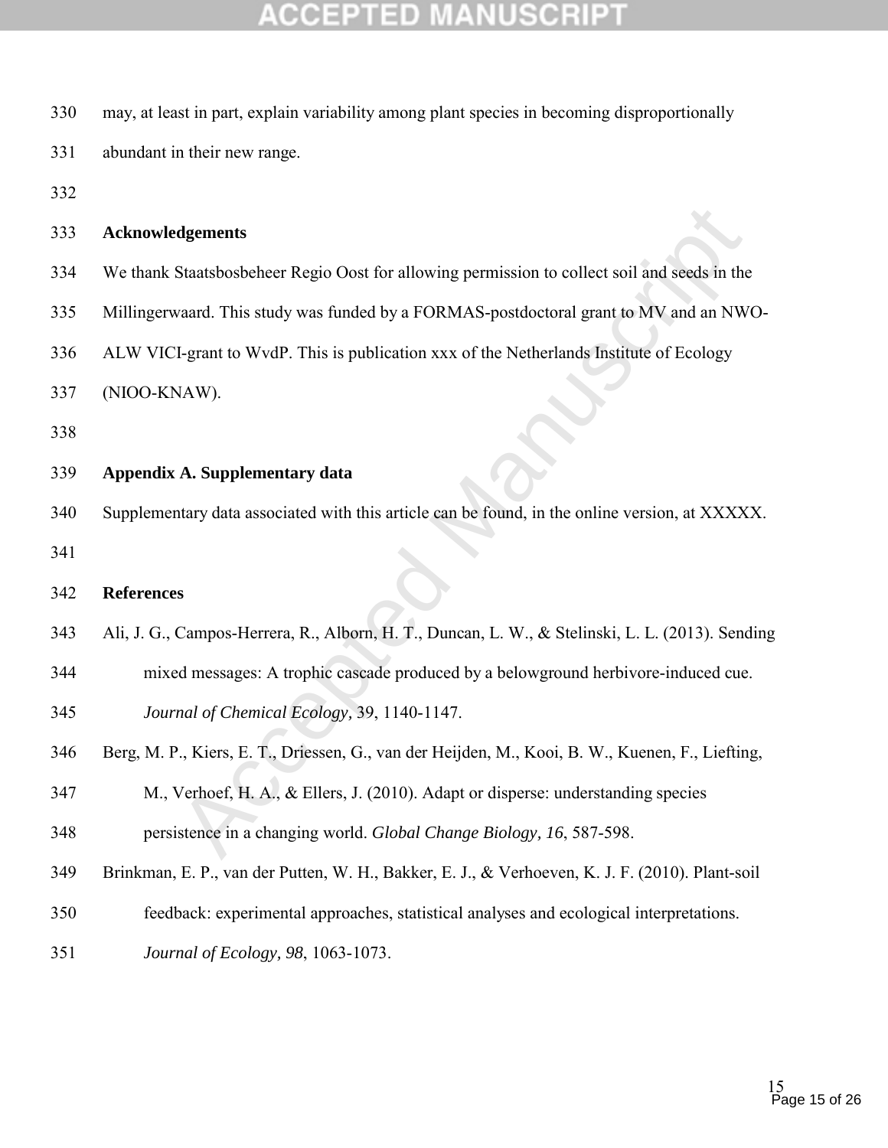# **ACCEPTED MANUSCRIPT**

| 330 | may, at least in part, explain variability among plant species in becoming disproportionally     |
|-----|--------------------------------------------------------------------------------------------------|
| 331 | abundant in their new range.                                                                     |
| 332 |                                                                                                  |
| 333 | <b>Acknowledgements</b>                                                                          |
| 334 | We thank Staatsbosbeheer Regio Oost for allowing permission to collect soil and seeds in the     |
| 335 | Millingerwaard. This study was funded by a FORMAS-postdoctoral grant to MV and an NWO-           |
| 336 | ALW VICI-grant to WvdP. This is publication xxx of the Netherlands Institute of Ecology          |
| 337 | (NIOO-KNAW).                                                                                     |
| 338 |                                                                                                  |
| 339 | <b>Appendix A. Supplementary data</b>                                                            |
| 340 | Supplementary data associated with this article can be found, in the online version, at XXXXX.   |
| 341 |                                                                                                  |
| 342 | <b>References</b>                                                                                |
| 343 | Ali, J. G., Campos-Herrera, R., Alborn, H. T., Duncan, L. W., & Stelinski, L. L. (2013). Sending |
| 344 | mixed messages: A trophic cascade produced by a belowground herbivore-induced cue.               |
| 345 | Journal of Chemical Ecology, 39, 1140-1147.                                                      |
| 346 | Berg, M. P., Kiers, E. T., Driessen, G., van der Heijden, M., Kooi, B. W., Kuenen, F., Liefting, |
| 347 | M., Verhoef, H. A., & Ellers, J. (2010). Adapt or disperse: understanding species                |
| 348 | persistence in a changing world. Global Change Biology, 16, 587-598.                             |
| 349 | Brinkman, E. P., van der Putten, W. H., Bakker, E. J., & Verhoeven, K. J. F. (2010). Plant-soil  |
| 350 | feedback: experimental approaches, statistical analyses and ecological interpretations.          |

*Journal of Ecology, 98*, 1063-1073.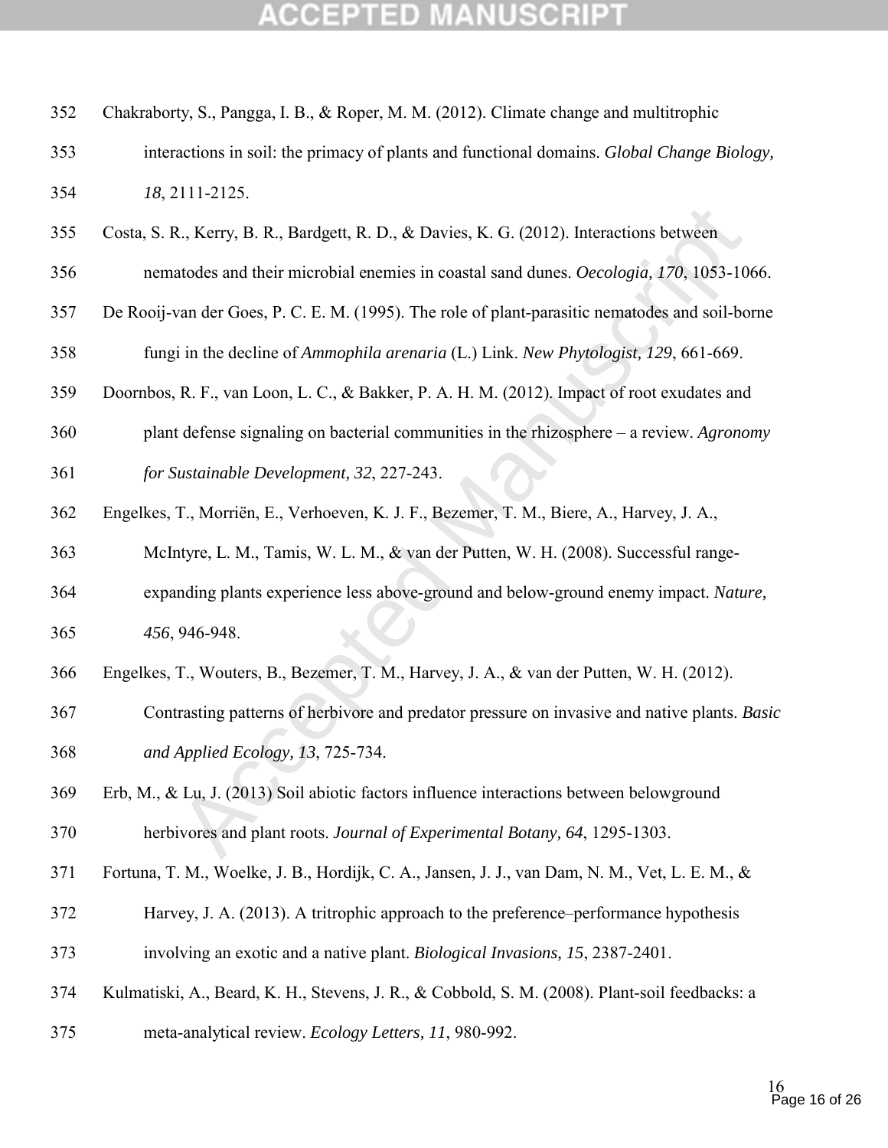# **ACCEPTED MANUSCRIPT**

| 352 | Chakraborty, S., Pangga, I. B., & Roper, M. M. (2012). Climate change and multitrophic          |
|-----|-------------------------------------------------------------------------------------------------|
| 353 | interactions in soil: the primacy of plants and functional domains. Global Change Biology,      |
| 354 | 18, 2111-2125.                                                                                  |
| 355 | Costa, S. R., Kerry, B. R., Bardgett, R. D., & Davies, K. G. (2012). Interactions between       |
| 356 | nematodes and their microbial enemies in coastal sand dunes. Oecologia, 170, 1053-1066.         |
| 357 | De Rooij-van der Goes, P. C. E. M. (1995). The role of plant-parasitic nematodes and soil-borne |
| 358 | fungi in the decline of Ammophila arenaria (L.) Link. New Phytologist, 129, 661-669.            |
| 359 | Doornbos, R. F., van Loon, L. C., & Bakker, P. A. H. M. (2012). Impact of root exudates and     |
| 360 | plant defense signaling on bacterial communities in the rhizosphere - a review. Agronomy        |
| 361 | for Sustainable Development, 32, 227-243.                                                       |
| 362 | Engelkes, T., Morriën, E., Verhoeven, K. J. F., Bezemer, T. M., Biere, A., Harvey, J. A.,       |
| 363 | McIntyre, L. M., Tamis, W. L. M., & van der Putten, W. H. (2008). Successful range-             |
| 364 | expanding plants experience less above-ground and below-ground enemy impact. Nature,            |
| 365 | 456, 946-948.                                                                                   |
| 366 | Engelkes, T., Wouters, B., Bezemer, T. M., Harvey, J. A., & van der Putten, W. H. (2012).       |
| 367 | Contrasting patterns of herbivore and predator pressure on invasive and native plants. Basic    |
| 368 | and Applied Ecology, 13, 725-734.                                                               |
| 369 | Erb, M., & Lu, J. (2013) Soil abiotic factors influence interactions between belowground        |
| 370 | herbivores and plant roots. Journal of Experimental Botany, 64, 1295-1303.                      |
| 371 | Fortuna, T. M., Woelke, J. B., Hordijk, C. A., Jansen, J. J., van Dam, N. M., Vet, L. E. M., &  |
| 372 | Harvey, J. A. (2013). A tritrophic approach to the preference–performance hypothesis            |
| 373 | involving an exotic and a native plant. <i>Biological Invasions</i> , 15, 2387-2401.            |
| 374 | Kulmatiski, A., Beard, K. H., Stevens, J. R., & Cobbold, S. M. (2008). Plant-soil feedbacks: a  |

meta-analytical review. *Ecology Letters, 11*, 980-992.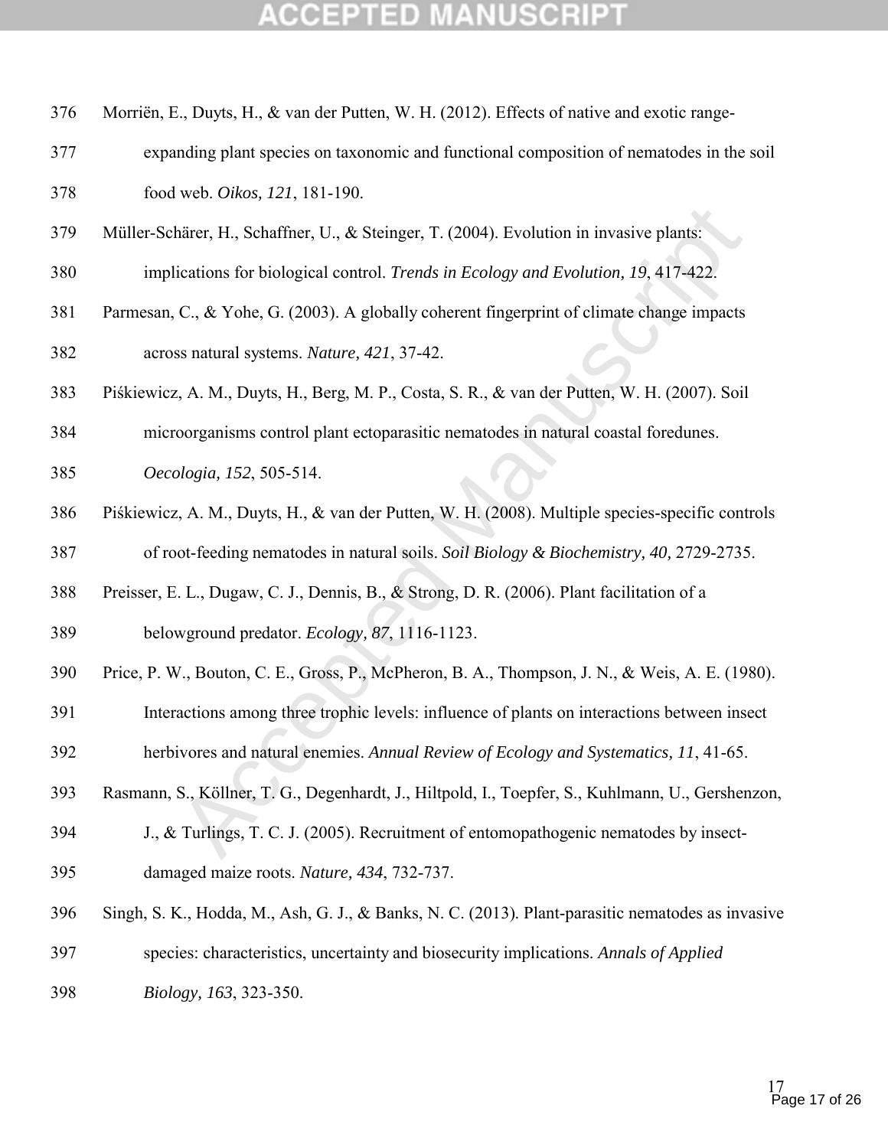## COEPTED

- Morriën, E., Duyts, H., & van der Putten, W. H. (2012). Effects of native and exotic range-
- expanding plant species on taxonomic and functional composition of nematodes in the soil
- food web. *Oikos, 121*, 181-190.
- Müller-Schärer, H., Schaffner, U., & Steinger, T. (2004). Evolution in invasive plants:
- implications for biological control. *Trends in Ecology and Evolution, 19*, 417-422.
- Parmesan, C., & Yohe, G. (2003). A globally coherent fingerprint of climate change impacts
- across natural systems. *Nature, 421*, 37-42.
- Piśkiewicz, A. M., Duyts, H., Berg, M. P., Costa, S. R., & van der Putten, W. H. (2007). Soil
- microorganisms control plant ectoparasitic nematodes in natural coastal foredunes.
- *Oecologia, 152*, 505-514.
- härer, H., Schaffner, U., & Steinger, T. (2004). Evolution in invasive plants:<br>
ications for biological control. *Trends in Ecology and Evolution*, 19, 417-422.<br>
C., & Yohe, G. (2003). A globally coherent fingerprint of el Piśkiewicz, A. M., Duyts, H., & van der Putten, W. H. (2008). Multiple species-specific controls of root-feeding nematodes in natural soils. *Soil Biology & Biochemistry, 40,* 2729-2735.
- Preisser, E. L., Dugaw, C. J., Dennis, B., & Strong, D. R. (2006). Plant facilitation of a
- belowground predator. *Ecology, 87*, 1116-1123.
- Price, P. W., Bouton, C. E., Gross, P., McPheron, B. A., Thompson, J. N., & Weis, A. E. (1980).
- Interactions among three trophic levels: influence of plants on interactions between insect
- herbivores and natural enemies. *Annual Review of Ecology and Systematics, 11*, 41-65.
- Rasmann, S., Köllner, T. G., Degenhardt, J., Hiltpold, I., Toepfer, S., Kuhlmann, U., Gershenzon,
- 394 J., & Turlings, T. C. J. (2005). Recruitment of entomopathogenic nematodes by insect-
- damaged maize roots. *Nature, 434*, 732-737.
- Singh, S. K., Hodda, M., Ash, G. J., & Banks, N. C. (2013). Plant-parasitic nematodes as invasive
- species: characteristics, uncertainty and biosecurity implications. *Annals of Applied*
- *Biology, 163*, 323-350.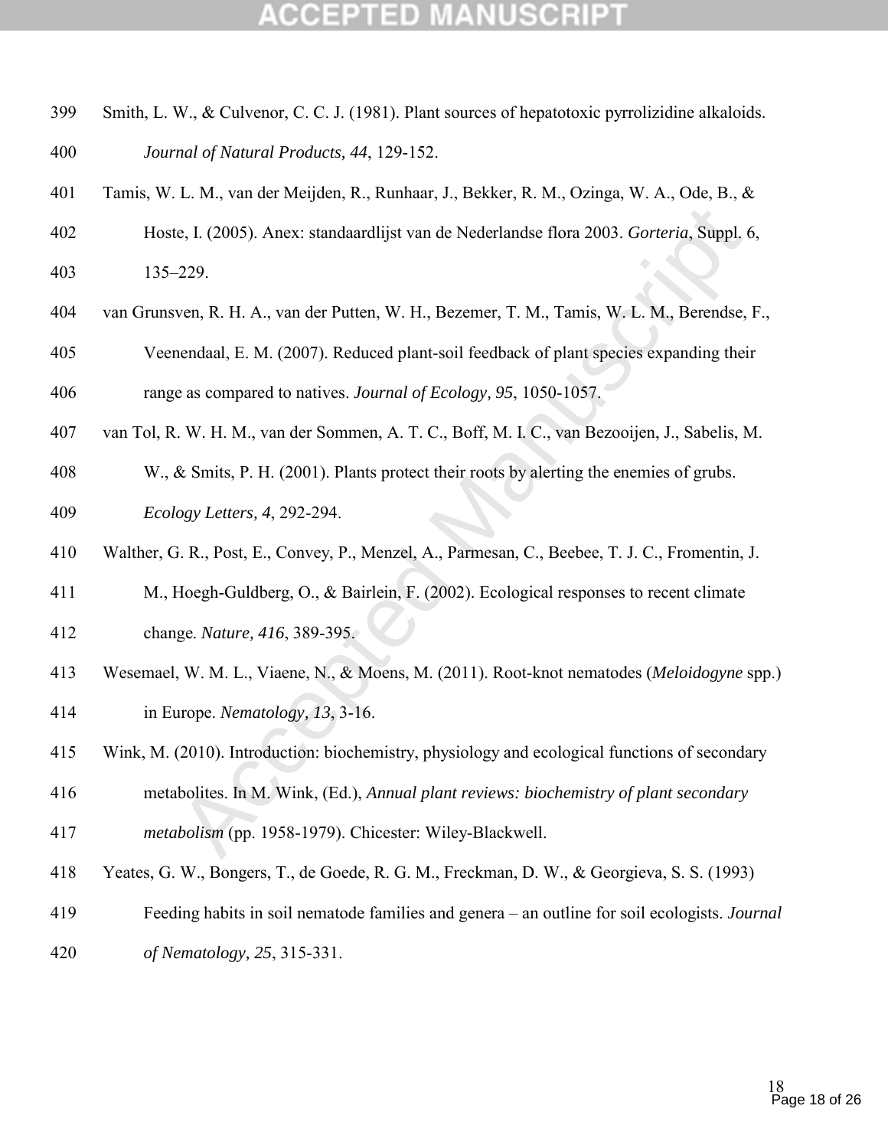## CCEPTED

- Smith, L. W., & Culvenor, C. C. J. (1981). Plant sources of hepatotoxic pyrrolizidine alkaloids. *Journal of Natural Products, 44*, 129-152.
- Tamis, W. L. M., van der Meijden, R., Runhaar, J., Bekker, R. M., Ozinga, W. A., Ode, B., &
- Hoste, I. (2005). Anex: standaardlijst van de Nederlandse flora 2003. *Gorteria*, Suppl. 6,
- 135–229.
- van Grunsven, R. H. A., van der Putten, W. H., Bezemer, T. M., Tamis, W. L. M., Berendse, F.,
- c, I. (2005). Anex: standaardlijst van de Nederlandse flora 2003. *Gorteria*, Suppl. (229.<br>
229.<br>
229.<br>
229.<br>
229.<br>
229.<br>
22. Exercepted Manuscripts. H., Bezemer, T. M., Tamis, W. L. M., Berendse,<br>
22. Exercepted Manuscrip Veenendaal, E. M. (2007). Reduced plant-soil feedback of plant species expanding their range as compared to natives. *Journal of Ecology, 95*, 1050-1057.
- van Tol, R. W. H. M., van der Sommen, A. T. C., Boff, M. I. C., van Bezooijen, J., Sabelis, M.
- W., & Smits, P. H. (2001). Plants protect their roots by alerting the enemies of grubs. *Ecology Letters, 4*, 292-294.
- Walther, G. R., Post, E., Convey, P., Menzel, A., Parmesan, C., Beebee, T. J. C., Fromentin, J.
- M., Hoegh-Guldberg, O., & Bairlein, F. (2002). Ecological responses to recent climate
- change. *Nature, 416*, 389-395.
- Wesemael, W. M. L., Viaene, N., & Moens, M. (2011). Root-knot nematodes (*Meloidogyne* spp.)
- in Europe. *Nematology, 13*, 3-16.
- Wink, M. (2010). Introduction: biochemistry, physiology and ecological functions of secondary
- metabolites. In M. Wink, (Ed.), *Annual plant reviews: biochemistry of plant secondary*
- *metabolism* (pp. 1958-1979). Chicester: Wiley-Blackwell.
- Yeates, G. W., Bongers, T., de Goede, R. G. M., Freckman, D. W., & Georgieva, S. S. (1993)
- Feeding habits in soil nematode families and genera an outline for soil ecologists. *Journal*
- *of Nematology, 25*, 315-331.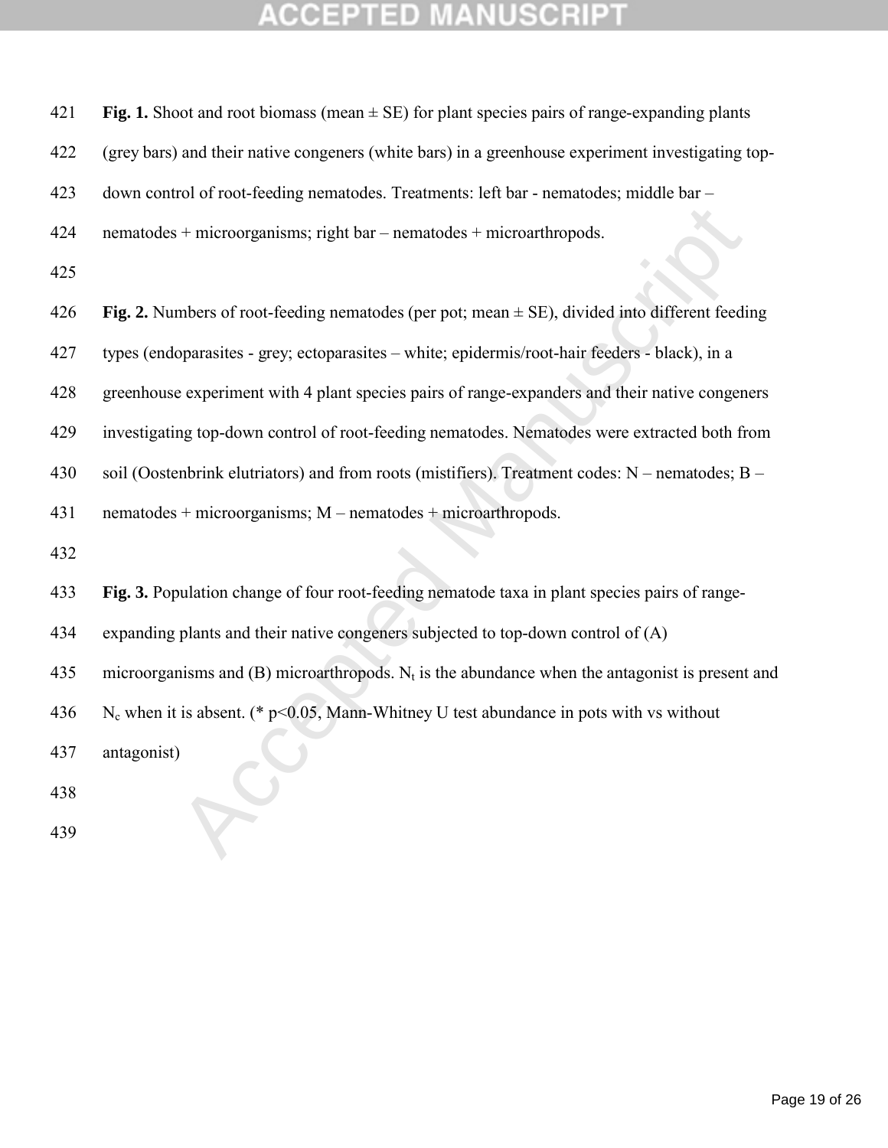# **ACCEPTED MANUSCRIPT**

| 421 | Fig. 1. Shoot and root biomass (mean $\pm$ SE) for plant species pairs of range-expanding plants   |
|-----|----------------------------------------------------------------------------------------------------|
| 422 | (grey bars) and their native congeners (white bars) in a greenhouse experiment investigating top-  |
| 423 | down control of root-feeding nematodes. Treatments: left bar - nematodes; middle bar -             |
| 424 | nematodes + microorganisms; right bar – nematodes + microarthropods.                               |
| 425 |                                                                                                    |
| 426 | Fig. 2. Numbers of root-feeding nematodes (per pot; mean $\pm$ SE), divided into different feeding |
| 427 | types (endoparasites - grey; ectoparasites - white; epidermis/root-hair feeders - black), in a     |
| 428 | greenhouse experiment with 4 plant species pairs of range-expanders and their native congeners     |
| 429 | investigating top-down control of root-feeding nematodes. Nematodes were extracted both from       |
| 430 | soil (Oostenbrink elutriators) and from roots (mistifiers). Treatment codes: N – nematodes; B –    |
| 431 | nematodes + microorganisms; M - nematodes + microarthropods.                                       |
| 432 |                                                                                                    |
| 433 | Fig. 3. Population change of four root-feeding nematode taxa in plant species pairs of range-      |
| 434 | expanding plants and their native congeners subjected to top-down control of (A)                   |
| 435 | microorganisms and (B) microarthropods. $N_t$ is the abundance when the antagonist is present and  |
| 436 | $N_c$ when it is absent. (* p<0.05, Mann-Whitney U test abundance in pots with vs without          |
| 437 | antagonist)                                                                                        |
| 438 |                                                                                                    |
| 439 |                                                                                                    |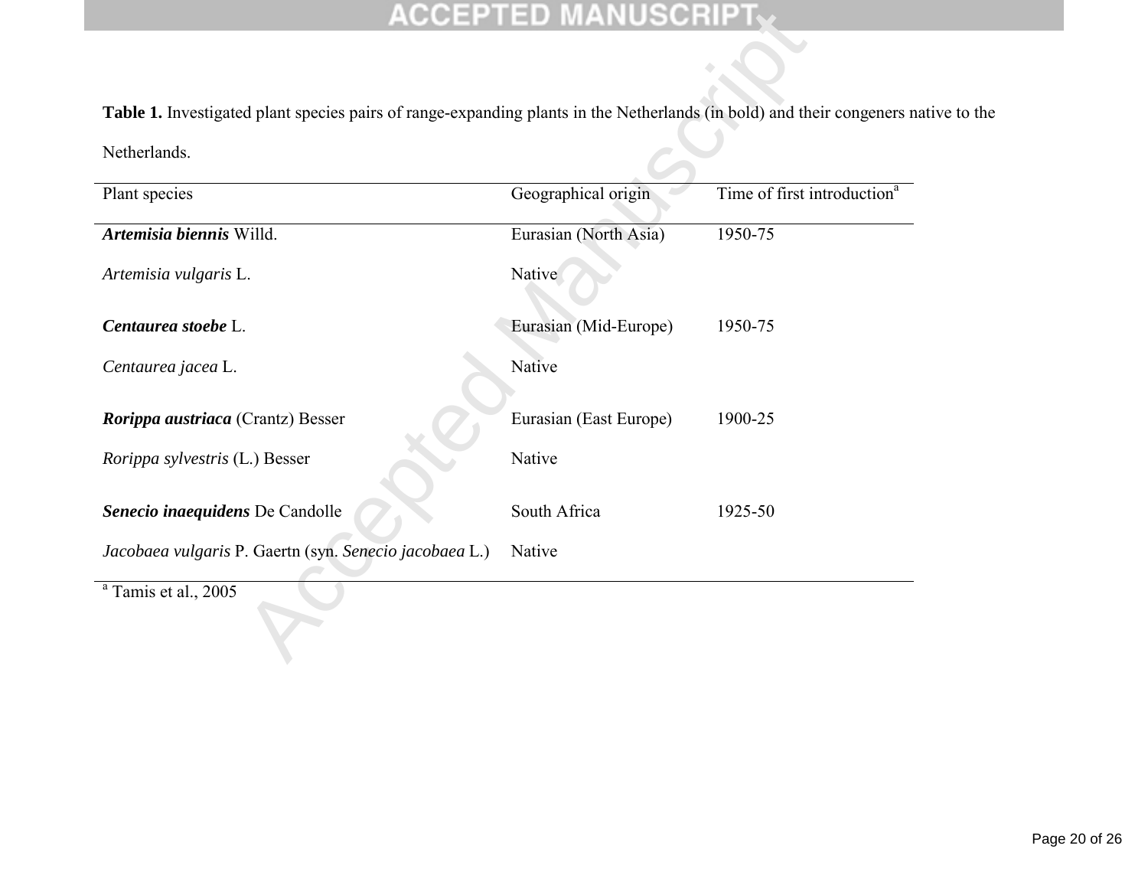**Table 1.** Investigated plant species pairs of range-expanding plants in the Netherlands (in bold) and their congeners native to the

| Table 1. Investigated plant species pairs of range-expanding plants in the Netherlands (in bold) and their congeners n |                        |                                         |
|------------------------------------------------------------------------------------------------------------------------|------------------------|-----------------------------------------|
| Netherlands.                                                                                                           |                        |                                         |
| Plant species                                                                                                          | Geographical origin    | Time of first introduction <sup>a</sup> |
| Artemisia biennis Willd.                                                                                               | Eurasian (North Asia)  | $1950 - 75$                             |
| Artemisia vulgaris L.                                                                                                  | Native                 |                                         |
| Centaurea stoebe L.                                                                                                    | Eurasian (Mid-Europe)  | 1950-75                                 |
| Centaurea jacea L.                                                                                                     | Native                 |                                         |
| Rorippa austriaca (Crantz) Besser                                                                                      | Eurasian (East Europe) | 1900-25                                 |
| Rorippa sylvestris (L.) Besser                                                                                         | Native                 |                                         |
| Senecio inaequidens De Candolle                                                                                        | South Africa           | 1925-50                                 |
| Jacobaea vulgaris P. Gaertn (syn. Senecio jacobaea L.)                                                                 | Native                 |                                         |
| <sup>a</sup> Tamis et al., 2005                                                                                        |                        |                                         |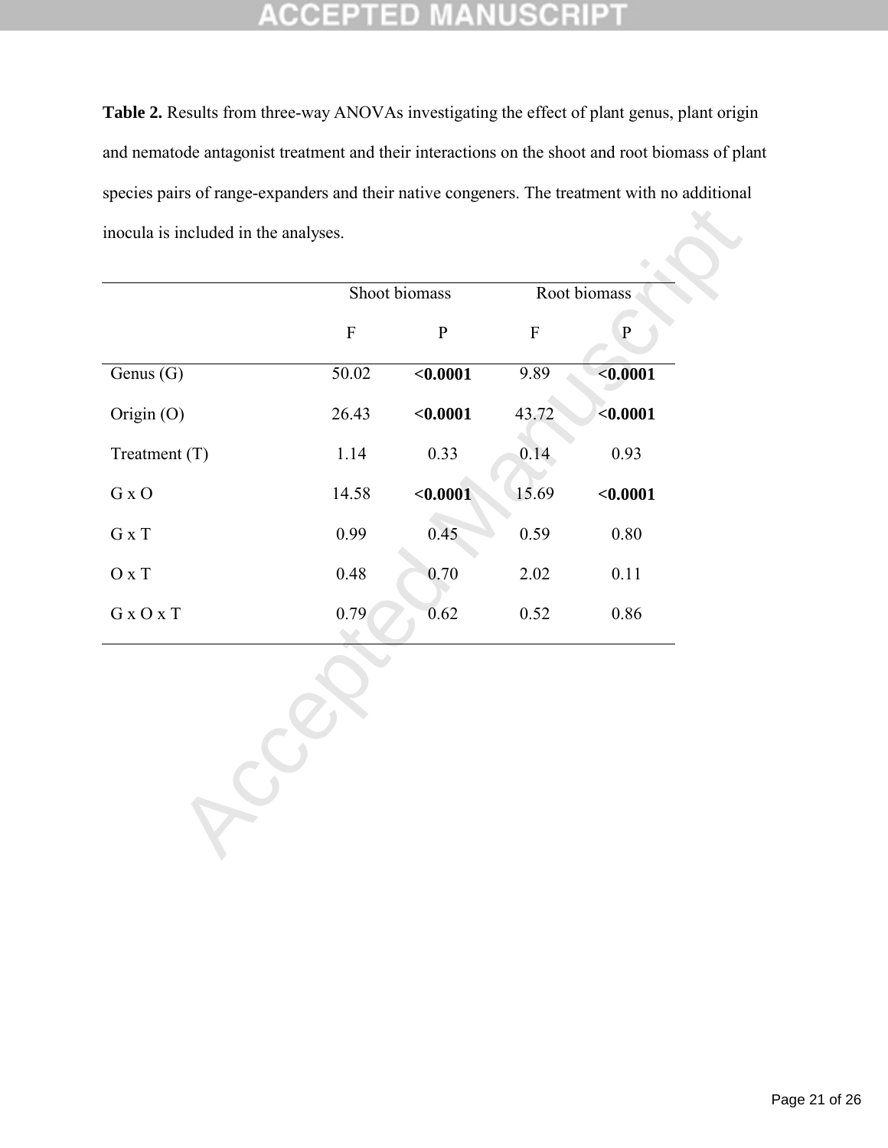#### **CCEPTED MANUSCRIPT** 生

**Table 2.** Results from three-way ANOVAs investigating the effect of plant genus, plant origin and nematode antagonist treatment and their interactions on the shoot and root biomass of plant species pairs of range-expanders and their native congeners. The treatment with no additional inocula is included in the analyses.

|                                   |           | Shoot biomass | Root biomass |               |  |
|-----------------------------------|-----------|---------------|--------------|---------------|--|
|                                   | ${\bf F}$ | ${\bf P}$     | ${\bf F}$    | $\mathbf{P}$  |  |
| Genus (G)                         | 50.02     | < 0.0001      | 9.89         | $\sim 0.0001$ |  |
| Origin (O)                        | 26.43     | < 0.0001      | 43.72        | < 0.0001      |  |
| Treatment (T)                     | 1.14      | 0.33          | 0.14         | 0.93          |  |
| $G \times O$                      | 14.58     | < 0.0001      | 15.69        | < 0.0001      |  |
| ${\bf G}$ x ${\bf T}$             | 0.99      | 0.45          | 0.59         | $0.80\,$      |  |
| $\hbox{O\,{\sc x}}$ T             | 0.48      | 0.70          | 2.02         | $0.11\,$      |  |
| ${\bf G}$ x ${\bf O}$ x ${\bf T}$ | 0.79      | 0.62          | 0.52         | 0.86          |  |
|                                   |           |               |              |               |  |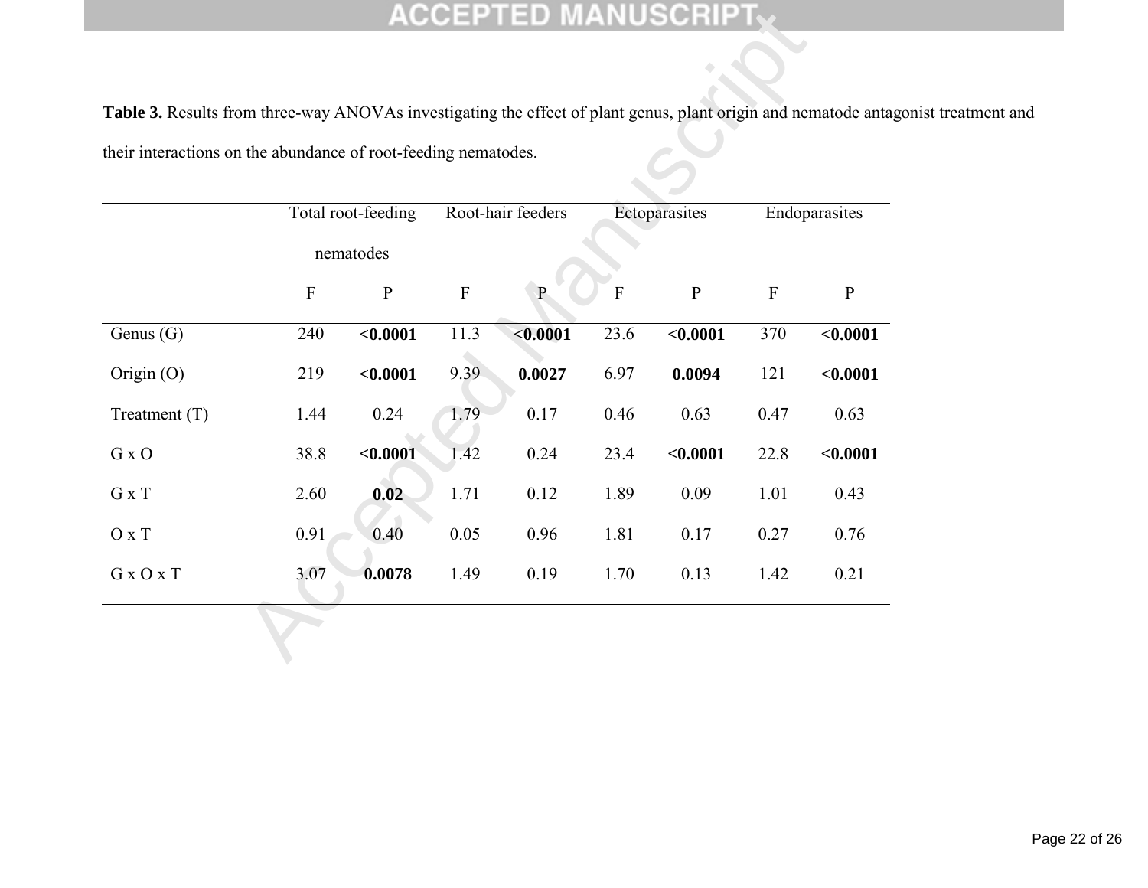**Table 3.** Results from three-way ANOVAs investigating the effect of plant genus, plant origin and nematode antagonist treatment and

|  |  |  | their interactions on the abundance of root-feeding nematodes. |
|--|--|--|----------------------------------------------------------------|
|  |  |  |                                                                |

| Table 3. Results from three-way ANOVAs investigating the effect of plant genus, plant origin and nematode ant<br>their interactions on the abundance of root-feeding nematodes. |             |                        |                |                   |                |               |                           |                 |
|---------------------------------------------------------------------------------------------------------------------------------------------------------------------------------|-------------|------------------------|----------------|-------------------|----------------|---------------|---------------------------|-----------------|
|                                                                                                                                                                                 |             | Total root-feeding     |                | Root-hair feeders |                | Ectoparasites |                           | Endoparasites   |
|                                                                                                                                                                                 | $\mathbf F$ | nematodes<br>${\bf P}$ | $\overline{F}$ | $\mathbf{P}$      | $\overline{F}$ | $\, {\bf P}$  | $\boldsymbol{\mathrm{F}}$ | $\mathbf{P}$    |
| Genus (G)                                                                                                                                                                       | 240         | $\sqrt{0.0001}$        | 11.3           | < 0.0001          | 23.6           | < 0.0001      | 370                       | $\sqrt{0.0001}$ |
| Origin (O)                                                                                                                                                                      | 219         | < 0.0001               | 9.39           | 0.0027            | 6.97           | 0.0094        | 121                       | < 0.0001        |
| Treatment $(T)$                                                                                                                                                                 | 1.44        | 0.24                   | 1.79           | 0.17              | 0.46           | 0.63          | 0.47                      | 0.63            |
| G x O                                                                                                                                                                           | 38.8        | < 0.0001               | 1.42           | 0.24              | 23.4           | < 0.0001      | 22.8                      | < 0.0001        |
| G x T                                                                                                                                                                           | 2.60        | 0.02                   | 1.71           | 0.12              | 1.89           | 0.09          | 1.01                      | 0.43            |
| $O \times T$                                                                                                                                                                    | 0.91        | 0.40                   | 0.05           | 0.96              | 1.81           | 0.17          | 0.27                      | 0.76            |
| G x O x T                                                                                                                                                                       | 3.07        | 0.0078                 | 1.49           | 0.19              | 1.70           | 0.13          | 1.42                      | 0.21            |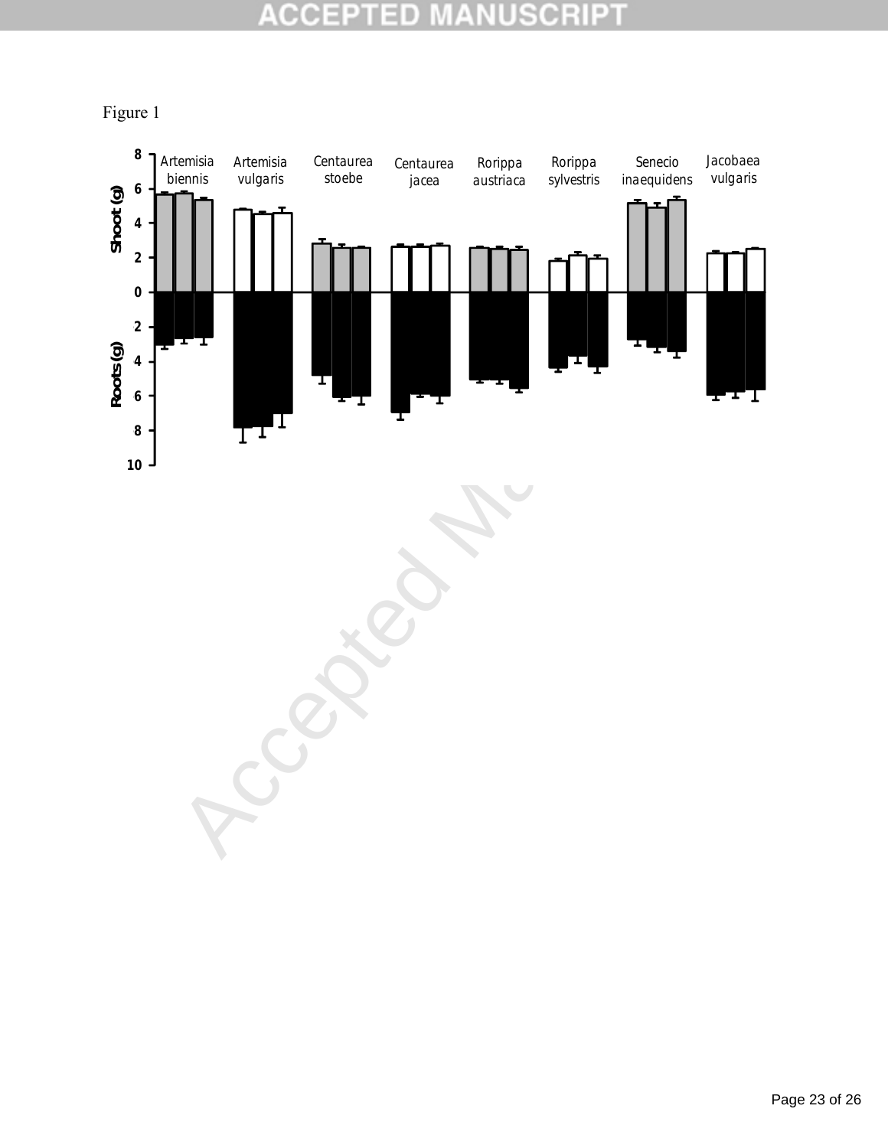#### **ACCEP ISCRIPT**  $\Box$  D U

Figure 1



Accepted Manuscript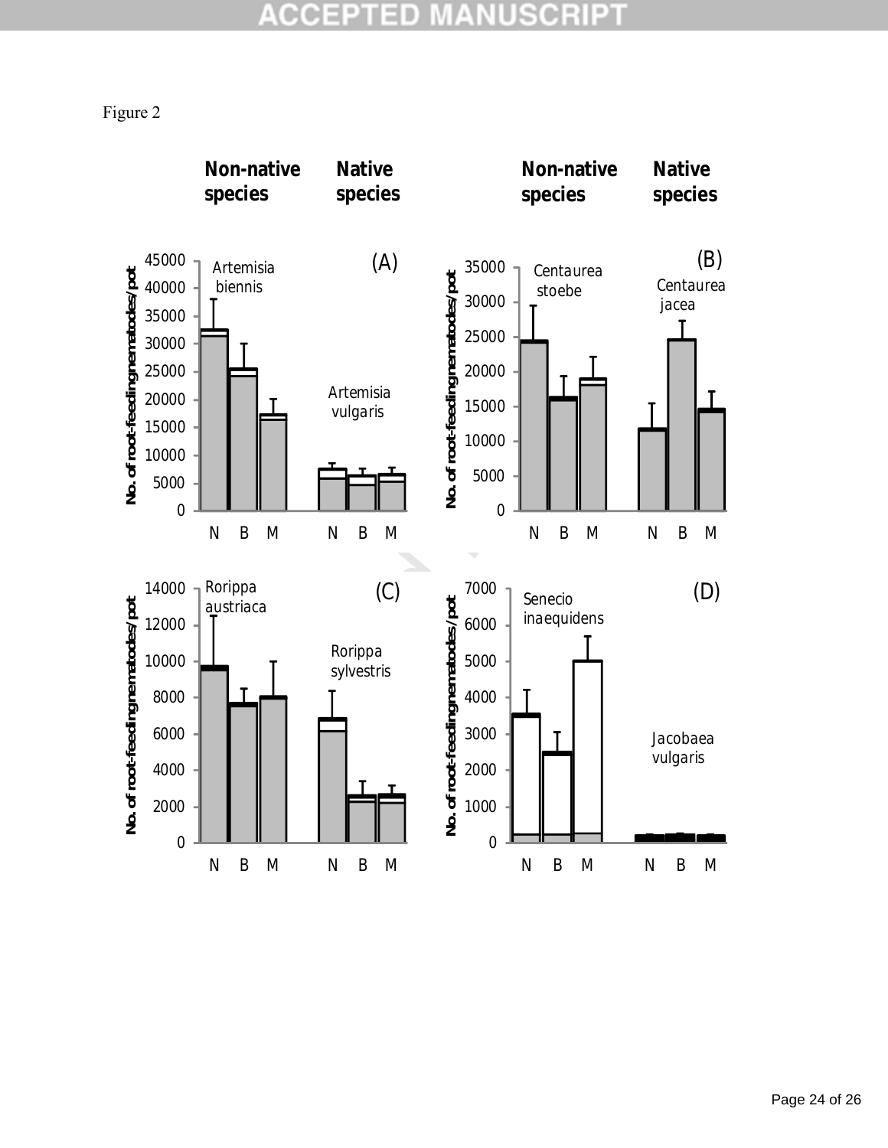#### **ACCEPTED ANUSCRIP1**

Figure 2

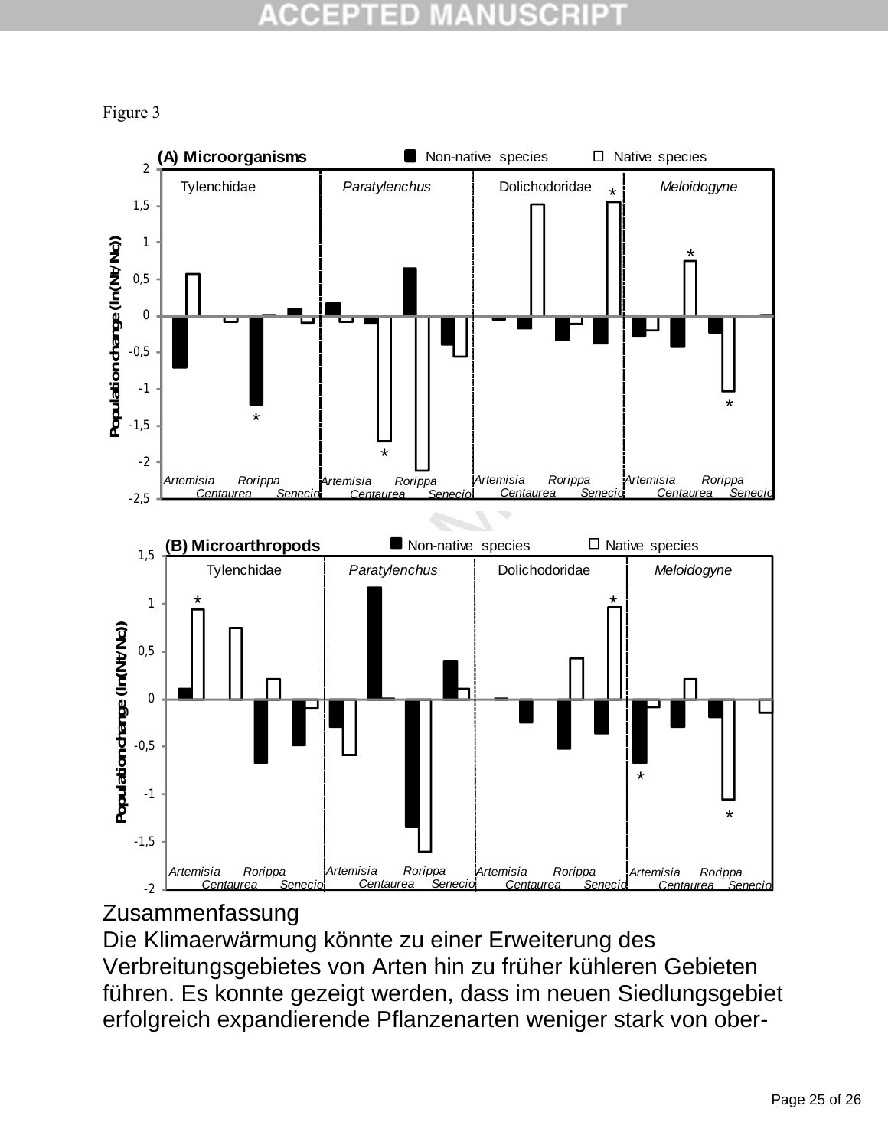#### CCEF 10





#### Zusammenfassung

Die Klimaerwärmung könnte zu einer Erweiterung des Verbreitungsgebietes von Arten hin zu früher kühleren Gebieten führen. Es konnte gezeigt werden, dass im neuen Siedlungsgebiet erfolgreich expandierende Pflanzenarten weniger stark von ober-